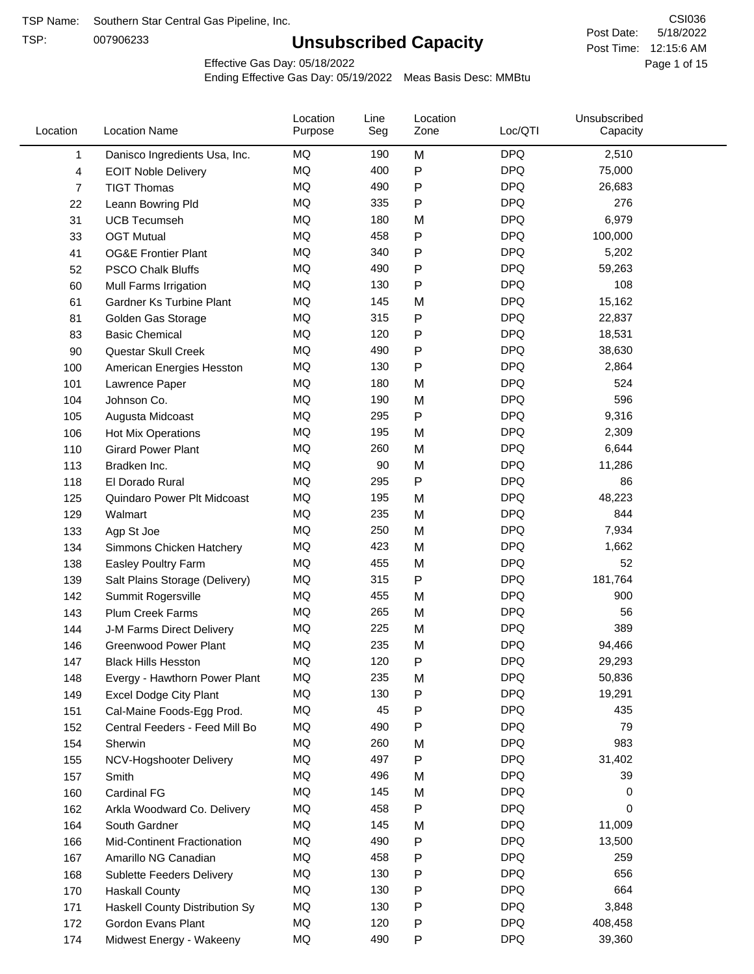TSP:

# **Unsubscribed Capacity**

5/18/2022 Page 1 of 15 Post Time: 12:15:6 AM CSI036 Post Date:

Effective Gas Day: 05/18/2022

| Location     | <b>Location Name</b>               | Location<br>Purpose | Line<br>Seg | Location<br>Zone | Loc/QTI    | Unsubscribed<br>Capacity |  |
|--------------|------------------------------------|---------------------|-------------|------------------|------------|--------------------------|--|
| $\mathbf{1}$ | Danisco Ingredients Usa, Inc.      | MQ                  | 190         | M                | <b>DPQ</b> | 2,510                    |  |
| 4            | <b>EOIT Noble Delivery</b>         | MQ                  | 400         | ${\sf P}$        | <b>DPQ</b> | 75,000                   |  |
| 7            | <b>TIGT Thomas</b>                 | <b>MQ</b>           | 490         | ${\sf P}$        | <b>DPQ</b> | 26,683                   |  |
| 22           | Leann Bowring Pld                  | <b>MQ</b>           | 335         | P                | <b>DPQ</b> | 276                      |  |
| 31           | <b>UCB Tecumseh</b>                | <b>MQ</b>           | 180         | M                | <b>DPQ</b> | 6,979                    |  |
| 33           | <b>OGT Mutual</b>                  | <b>MQ</b>           | 458         | P                | <b>DPQ</b> | 100,000                  |  |
| 41           | <b>OG&amp;E Frontier Plant</b>     | MQ                  | 340         | $\mathsf{P}$     | <b>DPQ</b> | 5,202                    |  |
| 52           | <b>PSCO Chalk Bluffs</b>           | MQ                  | 490         | P                | <b>DPQ</b> | 59,263                   |  |
| 60           | Mull Farms Irrigation              | <b>MQ</b>           | 130         | P                | <b>DPQ</b> | 108                      |  |
| 61           | Gardner Ks Turbine Plant           | <b>MQ</b>           | 145         | M                | <b>DPQ</b> | 15,162                   |  |
| 81           | Golden Gas Storage                 | MQ                  | 315         | ${\sf P}$        | <b>DPQ</b> | 22,837                   |  |
| 83           | <b>Basic Chemical</b>              | <b>MQ</b>           | 120         | ${\sf P}$        | <b>DPQ</b> | 18,531                   |  |
| 90           | Questar Skull Creek                | MQ                  | 490         | P                | <b>DPQ</b> | 38,630                   |  |
| 100          | American Energies Hesston          | <b>MQ</b>           | 130         | $\mathsf{P}$     | <b>DPQ</b> | 2,864                    |  |
| 101          | Lawrence Paper                     | <b>MQ</b>           | 180         | M                | <b>DPQ</b> | 524                      |  |
| 104          | Johnson Co.                        | MQ                  | 190         | M                | <b>DPQ</b> | 596                      |  |
| 105          | Augusta Midcoast                   | <b>MQ</b>           | 295         | $\mathsf{P}$     | <b>DPQ</b> | 9,316                    |  |
| 106          | <b>Hot Mix Operations</b>          | <b>MQ</b>           | 195         | M                | <b>DPQ</b> | 2,309                    |  |
| 110          | <b>Girard Power Plant</b>          | <b>MQ</b>           | 260         | M                | <b>DPQ</b> | 6,644                    |  |
| 113          | Bradken Inc.                       | <b>MQ</b>           | 90          | M                | <b>DPQ</b> | 11,286                   |  |
| 118          | El Dorado Rural                    | MQ                  | 295         | $\mathsf{P}$     | <b>DPQ</b> | 86                       |  |
| 125          | Quindaro Power Plt Midcoast        | MQ                  | 195         | M                | <b>DPQ</b> | 48,223                   |  |
| 129          | Walmart                            | <b>MQ</b>           | 235         | M                | <b>DPQ</b> | 844                      |  |
| 133          | Agp St Joe                         | <b>MQ</b>           | 250         | M                | <b>DPQ</b> | 7,934                    |  |
| 134          | Simmons Chicken Hatchery           | <b>MQ</b>           | 423         | M                | <b>DPQ</b> | 1,662                    |  |
| 138          | Easley Poultry Farm                | MQ                  | 455         | M                | <b>DPQ</b> | 52                       |  |
| 139          | Salt Plains Storage (Delivery)     | MQ                  | 315         | ${\sf P}$        | <b>DPQ</b> | 181,764                  |  |
| 142          | Summit Rogersville                 | <b>MQ</b>           | 455         | M                | <b>DPQ</b> | 900                      |  |
| 143          | <b>Plum Creek Farms</b>            | MQ                  | 265         | M                | <b>DPQ</b> | 56                       |  |
| 144          | J-M Farms Direct Delivery          | MQ                  | 225         | M                | <b>DPQ</b> | 389                      |  |
| 146          | <b>Greenwood Power Plant</b>       | <b>MQ</b>           | 235         | M                | <b>DPQ</b> | 94,466                   |  |
| 147          | <b>Black Hills Hesston</b>         | MQ                  | 120         | P                | <b>DPQ</b> | 29,293                   |  |
| 148          | Evergy - Hawthorn Power Plant      | MQ                  | 235         | M                | <b>DPQ</b> | 50,836                   |  |
| 149          | Excel Dodge City Plant             | MQ                  | 130         | P                | <b>DPQ</b> | 19,291                   |  |
| 151          | Cal-Maine Foods-Egg Prod.          | MQ                  | 45          | ${\sf P}$        | <b>DPQ</b> | 435                      |  |
| 152          | Central Feeders - Feed Mill Bo     | MQ                  | 490         | P                | <b>DPQ</b> | 79                       |  |
| 154          | Sherwin                            | MQ                  | 260         | M                | <b>DPQ</b> | 983                      |  |
| 155          | NCV-Hogshooter Delivery            | MQ                  | 497         | P                | <b>DPQ</b> | 31,402                   |  |
| 157          | Smith                              | MQ                  | 496         | M                | <b>DPQ</b> | 39                       |  |
| 160          | Cardinal FG                        | MQ                  | 145         | M                | <b>DPQ</b> | 0                        |  |
| 162          | Arkla Woodward Co. Delivery        | MQ                  | 458         | P                | <b>DPQ</b> | 0                        |  |
| 164          | South Gardner                      | MQ                  | 145         | M                | <b>DPQ</b> | 11,009                   |  |
| 166          | <b>Mid-Continent Fractionation</b> | MQ                  | 490         | P                | <b>DPQ</b> | 13,500                   |  |
| 167          | Amarillo NG Canadian               | MQ                  | 458         | P                | <b>DPQ</b> | 259                      |  |
| 168          | Sublette Feeders Delivery          | MQ                  | 130         | P                | <b>DPQ</b> | 656                      |  |
| 170          | <b>Haskall County</b>              | MQ                  | 130         | P                | <b>DPQ</b> | 664                      |  |
| 171          | Haskell County Distribution Sy     | MQ                  | 130         | P                | <b>DPQ</b> | 3,848                    |  |
| 172          | Gordon Evans Plant                 | MQ                  | 120         | P                | <b>DPQ</b> | 408,458                  |  |
| 174          | Midwest Energy - Wakeeny           | MQ                  | 490         | P                | <b>DPQ</b> | 39,360                   |  |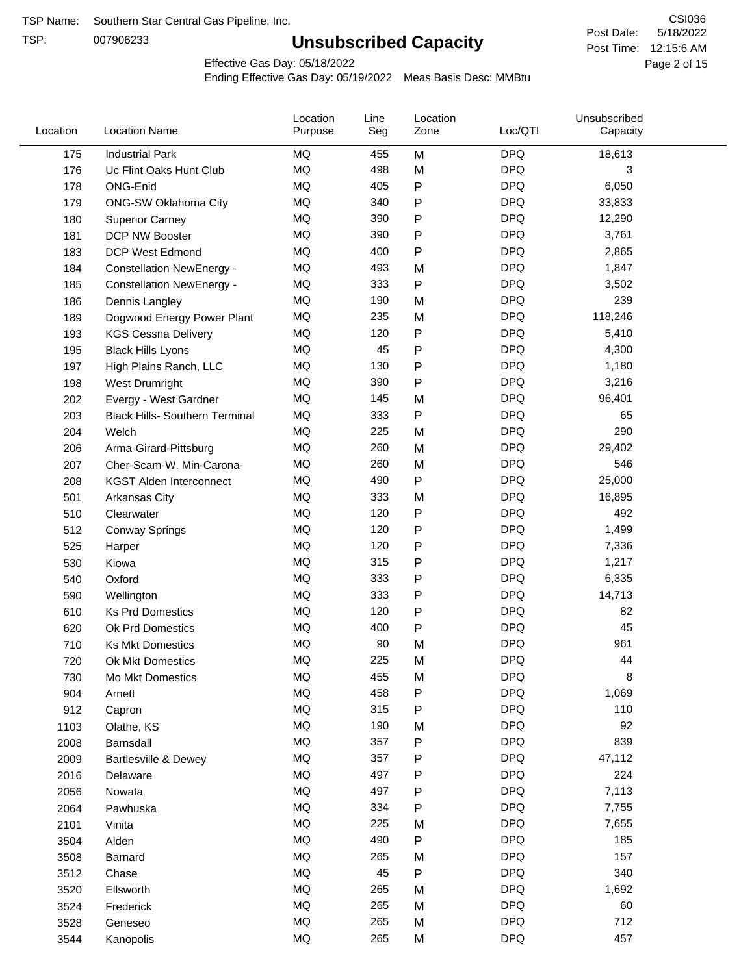TSP:

# **Unsubscribed Capacity**

5/18/2022 Page 2 of 15 Post Time: 12:15:6 AM CSI036 Post Date:

Effective Gas Day: 05/18/2022

| Location | <b>Location Name</b>                  | Location<br>Purpose | Line<br>Seg | Location<br>Zone | Loc/QTI    | Unsubscribed<br>Capacity |  |
|----------|---------------------------------------|---------------------|-------------|------------------|------------|--------------------------|--|
| 175      | <b>Industrial Park</b>                | <b>MQ</b>           | 455         | M                | <b>DPQ</b> | 18,613                   |  |
| 176      | Uc Flint Oaks Hunt Club               | MQ                  | 498         | M                | <b>DPQ</b> | 3                        |  |
| 178      | ONG-Enid                              | <b>MQ</b>           | 405         | P                | <b>DPQ</b> | 6,050                    |  |
| 179      | <b>ONG-SW Oklahoma City</b>           | <b>MQ</b>           | 340         | P                | <b>DPQ</b> | 33,833                   |  |
| 180      | <b>Superior Carney</b>                | <b>MQ</b>           | 390         | P                | <b>DPQ</b> | 12,290                   |  |
| 181      | DCP NW Booster                        | <b>MQ</b>           | 390         | P                | <b>DPQ</b> | 3,761                    |  |
| 183      | <b>DCP West Edmond</b>                | MQ                  | 400         | P                | <b>DPQ</b> | 2,865                    |  |
| 184      | <b>Constellation NewEnergy -</b>      | MQ                  | 493         | M                | <b>DPQ</b> | 1,847                    |  |
| 185      | <b>Constellation NewEnergy -</b>      | MQ                  | 333         | P                | <b>DPQ</b> | 3,502                    |  |
| 186      | Dennis Langley                        | MQ                  | 190         | M                | <b>DPQ</b> | 239                      |  |
| 189      | Dogwood Energy Power Plant            | <b>MQ</b>           | 235         | M                | <b>DPQ</b> | 118,246                  |  |
| 193      | <b>KGS Cessna Delivery</b>            | <b>MQ</b>           | 120         | P                | <b>DPQ</b> | 5,410                    |  |
| 195      | <b>Black Hills Lyons</b>              | MQ                  | 45          | P                | <b>DPQ</b> | 4,300                    |  |
| 197      | High Plains Ranch, LLC                | <b>MQ</b>           | 130         | P                | <b>DPQ</b> | 1,180                    |  |
| 198      | <b>West Drumright</b>                 | MQ                  | 390         | P                | <b>DPQ</b> | 3,216                    |  |
| 202      | Evergy - West Gardner                 | <b>MQ</b>           | 145         | M                | <b>DPQ</b> | 96,401                   |  |
| 203      | <b>Black Hills- Southern Terminal</b> | <b>MQ</b>           | 333         | Ρ                | <b>DPQ</b> | 65                       |  |
| 204      | Welch                                 | <b>MQ</b>           | 225         | M                | <b>DPQ</b> | 290                      |  |
| 206      | Arma-Girard-Pittsburg                 | <b>MQ</b>           | 260         | M                | <b>DPQ</b> | 29,402                   |  |
| 207      | Cher-Scam-W. Min-Carona-              | <b>MQ</b>           | 260         | M                | <b>DPQ</b> | 546                      |  |
| 208      | <b>KGST Alden Interconnect</b>        | MQ                  | 490         | P                | <b>DPQ</b> | 25,000                   |  |
| 501      | Arkansas City                         | MQ                  | 333         | M                | <b>DPQ</b> | 16,895                   |  |
| 510      | Clearwater                            | <b>MQ</b>           | 120         | P                | <b>DPQ</b> | 492                      |  |
| 512      | <b>Conway Springs</b>                 | <b>MQ</b>           | 120         | P                | <b>DPQ</b> | 1,499                    |  |
| 525      | Harper                                | <b>MQ</b>           | 120         | P                | <b>DPQ</b> | 7,336                    |  |
| 530      | Kiowa                                 | <b>MQ</b>           | 315         | P                | <b>DPQ</b> | 1,217                    |  |
| 540      | Oxford                                | <b>MQ</b>           | 333         | Ρ                | <b>DPQ</b> | 6,335                    |  |
| 590      | Wellington                            | <b>MQ</b>           | 333         | P                | <b>DPQ</b> | 14,713                   |  |
| 610      | <b>Ks Prd Domestics</b>               | MQ                  | 120         | P                | <b>DPQ</b> | 82                       |  |
| 620      | Ok Prd Domestics                      | MQ                  | 400         | P                | <b>DPQ</b> | 45                       |  |
| 710      | <b>Ks Mkt Domestics</b>               | <b>MQ</b>           | 90          | M                | <b>DPQ</b> | 961                      |  |
| 720      | Ok Mkt Domestics                      | <b>MQ</b>           | 225         | M                | <b>DPQ</b> | 44                       |  |
| 730      | Mo Mkt Domestics                      | MQ                  | 455         | M                | <b>DPQ</b> | 8                        |  |
| 904      | Arnett                                | MQ                  | 458         | Ρ                | <b>DPQ</b> | 1,069                    |  |
| 912      | Capron                                | MQ                  | 315         | P                | <b>DPQ</b> | 110                      |  |
| 1103     | Olathe, KS                            | MQ                  | 190         | M                | <b>DPQ</b> | 92                       |  |
| 2008     | Barnsdall                             | MQ                  | 357         | P                | <b>DPQ</b> | 839                      |  |
| 2009     | Bartlesville & Dewey                  | MQ                  | 357         | Ρ                | <b>DPQ</b> | 47,112                   |  |
| 2016     | Delaware                              | $\sf{MQ}$           | 497         | Ρ                | <b>DPQ</b> | 224                      |  |
| 2056     | Nowata                                | MQ                  | 497         | P                | <b>DPQ</b> | 7,113                    |  |
| 2064     | Pawhuska                              | MQ                  | 334         | Ρ                | <b>DPQ</b> | 7,755                    |  |
| 2101     | Vinita                                | MQ                  | 225         | M                | <b>DPQ</b> | 7,655                    |  |
| 3504     | Alden                                 | MQ                  | 490         | P                | <b>DPQ</b> | 185                      |  |
| 3508     | Barnard                               | MQ                  | 265         | M                | <b>DPQ</b> | 157                      |  |
| 3512     | Chase                                 | MQ                  | 45          | P                | <b>DPQ</b> | 340                      |  |
| 3520     | Ellsworth                             | MQ                  | 265         | M                | <b>DPQ</b> | 1,692                    |  |
| 3524     | Frederick                             | $\sf{MQ}$           | 265         | M                | <b>DPQ</b> | 60                       |  |
| 3528     | Geneseo                               | $\sf{MQ}$           | 265         | M                | <b>DPQ</b> | 712                      |  |
| 3544     | Kanopolis                             | $\sf{MQ}$           | 265         | M                | <b>DPQ</b> | 457                      |  |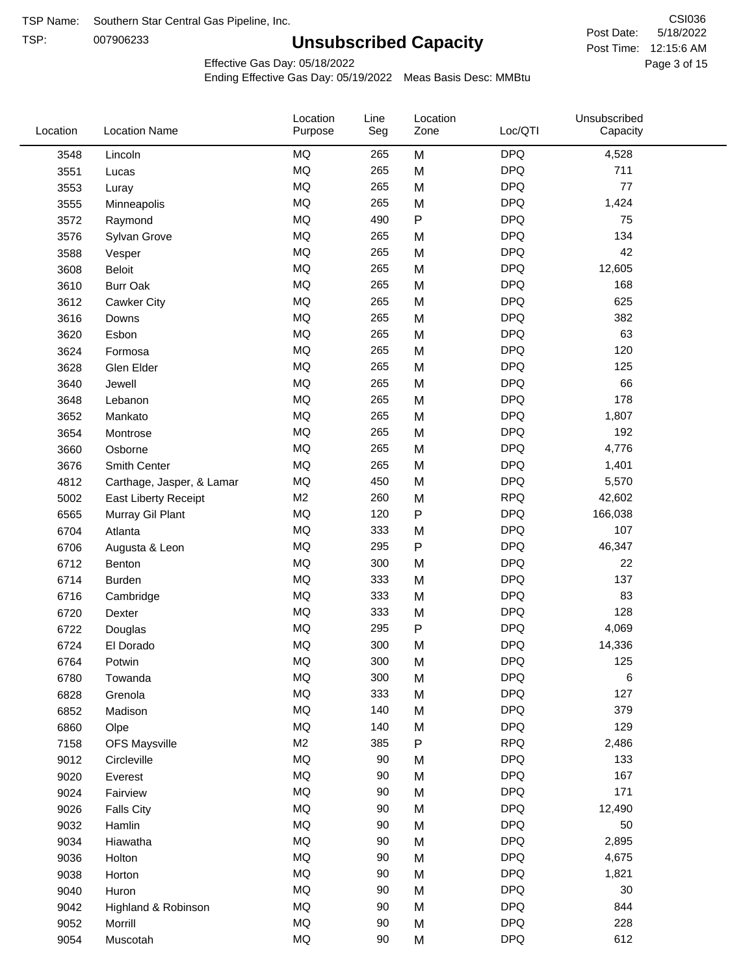TSP: 

# **Unsubscribed Capacity**

5/18/2022 Page 3 of 15 Post Time: 12:15:6 AM CSI036 Post Date:

Effective Gas Day: 05/18/2022

| Location | <b>Location Name</b>      | Location<br>Purpose | Line<br>Seg | Location<br>Zone | Loc/QTI    | Unsubscribed<br>Capacity |  |
|----------|---------------------------|---------------------|-------------|------------------|------------|--------------------------|--|
| 3548     | Lincoln                   | MQ                  | 265         | M                | <b>DPQ</b> | 4,528                    |  |
| 3551     | Lucas                     | MQ                  | 265         | M                | <b>DPQ</b> | 711                      |  |
| 3553     | Luray                     | MQ                  | 265         | M                | <b>DPQ</b> | 77                       |  |
| 3555     | Minneapolis               | <b>MQ</b>           | 265         | M                | <b>DPQ</b> | 1,424                    |  |
| 3572     | Raymond                   | <b>MQ</b>           | 490         | P                | <b>DPQ</b> | 75                       |  |
| 3576     | Sylvan Grove              | MQ                  | 265         | M                | <b>DPQ</b> | 134                      |  |
| 3588     | Vesper                    | MQ                  | 265         | M                | <b>DPQ</b> | 42                       |  |
| 3608     | <b>Beloit</b>             | MQ                  | 265         | M                | <b>DPQ</b> | 12,605                   |  |
| 3610     | <b>Burr Oak</b>           | $\sf{MQ}$           | 265         | M                | <b>DPQ</b> | 168                      |  |
| 3612     | Cawker City               | <b>MQ</b>           | 265         | M                | <b>DPQ</b> | 625                      |  |
| 3616     | Downs                     | MQ                  | 265         | M                | <b>DPQ</b> | 382                      |  |
| 3620     | Esbon                     | MQ                  | 265         | M                | <b>DPQ</b> | 63                       |  |
| 3624     | Formosa                   | MQ                  | 265         | M                | <b>DPQ</b> | 120                      |  |
| 3628     | Glen Elder                | <b>MQ</b>           | 265         | M                | <b>DPQ</b> | 125                      |  |
| 3640     | Jewell                    | MQ                  | 265         | M                | <b>DPQ</b> | 66                       |  |
| 3648     | Lebanon                   | MQ                  | 265         | M                | <b>DPQ</b> | 178                      |  |
| 3652     | Mankato                   | <b>MQ</b>           | 265         | M                | <b>DPQ</b> | 1,807                    |  |
| 3654     | Montrose                  | <b>MQ</b>           | 265         | M                | <b>DPQ</b> | 192                      |  |
| 3660     | Osborne                   | <b>MQ</b>           | 265         | M                | <b>DPQ</b> | 4,776                    |  |
| 3676     | Smith Center              | MQ                  | 265         | M                | <b>DPQ</b> | 1,401                    |  |
| 4812     | Carthage, Jasper, & Lamar | MQ                  | 450         | M                | <b>DPQ</b> | 5,570                    |  |
| 5002     | East Liberty Receipt      | M2                  | 260         | M                | <b>RPQ</b> | 42,602                   |  |
| 6565     | Murray Gil Plant          | MQ                  | 120         | P                | <b>DPQ</b> | 166,038                  |  |
| 6704     | Atlanta                   | $\sf{MQ}$           | 333         | M                | <b>DPQ</b> | 107                      |  |
| 6706     | Augusta & Leon            | MQ                  | 295         | P                | <b>DPQ</b> | 46,347                   |  |
| 6712     | Benton                    | <b>MQ</b>           | 300         | M                | <b>DPQ</b> | 22                       |  |
| 6714     | Burden                    | <b>MQ</b>           | 333         | M                | <b>DPQ</b> | 137                      |  |
| 6716     | Cambridge                 | MQ                  | 333         | M                | <b>DPQ</b> | 83                       |  |
| 6720     | Dexter                    | MQ                  | 333         | M                | <b>DPQ</b> | 128                      |  |
| 6722     | Douglas                   | MQ                  | 295         | P                | <b>DPQ</b> | 4,069                    |  |
| 6724     | El Dorado                 | MQ                  | 300         | M                | <b>DPQ</b> | 14,336                   |  |
| 6764     | Potwin                    | MQ                  | 300         | М                | <b>DPQ</b> | 125                      |  |
| 6780     | Towanda                   | MQ                  | 300         | M                | <b>DPQ</b> | 6                        |  |
| 6828     | Grenola                   | $\sf{MQ}$           | 333         | M                | <b>DPQ</b> | 127                      |  |
| 6852     | Madison                   | MQ                  | 140         | M                | <b>DPQ</b> | 379                      |  |
| 6860     | Olpe                      | MQ                  | 140         | M                | <b>DPQ</b> | 129                      |  |
| 7158     | <b>OFS Maysville</b>      | M2                  | 385         | P                | <b>RPQ</b> | 2,486                    |  |
| 9012     | Circleville               | MQ                  | 90          | M                | <b>DPQ</b> | 133                      |  |
| 9020     | Everest                   | $\sf{MQ}$           | 90          | M                | <b>DPQ</b> | 167                      |  |
| 9024     | Fairview                  | MQ                  | 90          | M                | <b>DPQ</b> | 171                      |  |
| 9026     | <b>Falls City</b>         | MQ                  | 90          | M                | <b>DPQ</b> | 12,490                   |  |
| 9032     | Hamlin                    | MQ                  | 90          | M                | <b>DPQ</b> | 50                       |  |
| 9034     | Hiawatha                  | $\sf{MQ}$           | $90\,$      | M                | <b>DPQ</b> | 2,895                    |  |
| 9036     | Holton                    | MQ                  | 90          | M                | <b>DPQ</b> | 4,675                    |  |
| 9038     | Horton                    | MQ                  | 90          | M                | <b>DPQ</b> | 1,821                    |  |
| 9040     | Huron                     | MQ                  | 90          | M                | <b>DPQ</b> | 30                       |  |
| 9042     | Highland & Robinson       | MQ                  | 90          | M                | <b>DPQ</b> | 844                      |  |
| 9052     | Morrill                   | $\sf{MQ}$           | 90          | M                | <b>DPQ</b> | 228                      |  |
| 9054     | Muscotah                  | $\sf{MQ}$           | $90\,$      | M                | <b>DPQ</b> | 612                      |  |
|          |                           |                     |             |                  |            |                          |  |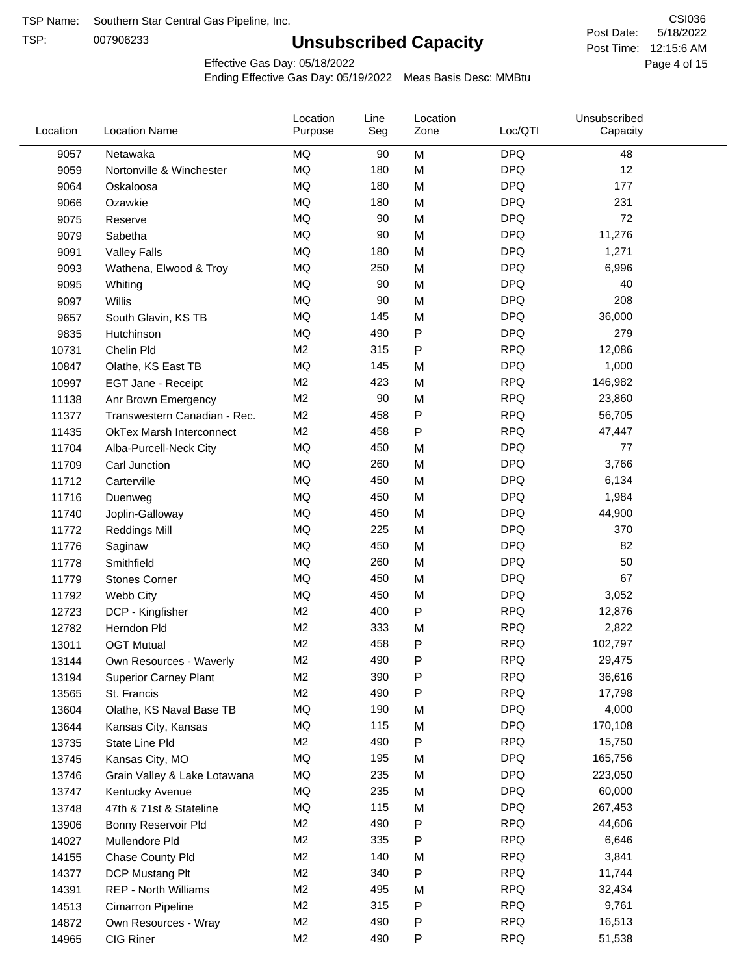TSP:

# **Unsubscribed Capacity**

5/18/2022 Page 4 of 15 Post Time: 12:15:6 AM CSI036 Post Date:

Effective Gas Day: 05/18/2022

| Location | <b>Location Name</b>            | Location<br>Purpose | Line<br>Seg | Location<br>Zone | Loc/QTI    | Unsubscribed<br>Capacity |  |
|----------|---------------------------------|---------------------|-------------|------------------|------------|--------------------------|--|
| 9057     | Netawaka                        | MQ                  | 90          | M                | <b>DPQ</b> | 48                       |  |
| 9059     | Nortonville & Winchester        | MQ                  | 180         | M                | <b>DPQ</b> | 12                       |  |
| 9064     | Oskaloosa                       | MQ                  | 180         | M                | <b>DPQ</b> | 177                      |  |
| 9066     | Ozawkie                         | <b>MQ</b>           | 180         | M                | <b>DPQ</b> | 231                      |  |
| 9075     | Reserve                         | <b>MQ</b>           | 90          | M                | <b>DPQ</b> | 72                       |  |
| 9079     | Sabetha                         | <b>MQ</b>           | 90          | M                | <b>DPQ</b> | 11,276                   |  |
| 9091     | <b>Valley Falls</b>             | <b>MQ</b>           | 180         | M                | <b>DPQ</b> | 1,271                    |  |
| 9093     | Wathena, Elwood & Troy          | <b>MQ</b>           | 250         | M                | <b>DPQ</b> | 6,996                    |  |
| 9095     | Whiting                         | MQ                  | 90          | M                | <b>DPQ</b> | 40                       |  |
| 9097     | Willis                          | <b>MQ</b>           | 90          | M                | <b>DPQ</b> | 208                      |  |
| 9657     | South Glavin, KS TB             | MQ                  | 145         | M                | <b>DPQ</b> | 36,000                   |  |
| 9835     | Hutchinson                      | MQ                  | 490         | ${\sf P}$        | <b>DPQ</b> | 279                      |  |
| 10731    | Chelin Pld                      | M <sub>2</sub>      | 315         | P                | <b>RPQ</b> | 12,086                   |  |
| 10847    | Olathe, KS East TB              | <b>MQ</b>           | 145         | M                | <b>DPQ</b> | 1,000                    |  |
| 10997    | EGT Jane - Receipt              | M <sub>2</sub>      | 423         | M                | <b>RPQ</b> | 146,982                  |  |
| 11138    | Anr Brown Emergency             | M <sub>2</sub>      | 90          | M                | <b>RPQ</b> | 23,860                   |  |
| 11377    | Transwestern Canadian - Rec.    | M <sub>2</sub>      | 458         | P                | <b>RPQ</b> | 56,705                   |  |
| 11435    | <b>OkTex Marsh Interconnect</b> | M2                  | 458         | $\mathsf{P}$     | <b>RPQ</b> | 47,447                   |  |
| 11704    | Alba-Purcell-Neck City          | MQ                  | 450         | M                | <b>DPQ</b> | 77                       |  |
| 11709    | Carl Junction                   | <b>MQ</b>           | 260         | M                | <b>DPQ</b> | 3,766                    |  |
| 11712    | Carterville                     | MQ                  | 450         | M                | <b>DPQ</b> | 6,134                    |  |
| 11716    | Duenweg                         | <b>MQ</b>           | 450         | M                | <b>DPQ</b> | 1,984                    |  |
| 11740    | Joplin-Galloway                 | <b>MQ</b>           | 450         | M                | <b>DPQ</b> | 44,900                   |  |
| 11772    | <b>Reddings Mill</b>            | <b>MQ</b>           | 225         | M                | <b>DPQ</b> | 370                      |  |
| 11776    | Saginaw                         | <b>MQ</b>           | 450         | M                | <b>DPQ</b> | 82                       |  |
| 11778    | Smithfield                      | MQ                  | 260         | M                | <b>DPQ</b> | 50                       |  |
| 11779    | <b>Stones Corner</b>            | <b>MQ</b>           | 450         | M                | <b>DPQ</b> | 67                       |  |
| 11792    | Webb City                       | <b>MQ</b>           | 450         | M                | <b>DPQ</b> | 3,052                    |  |
| 12723    | DCP - Kingfisher                | M <sub>2</sub>      | 400         | ${\sf P}$        | <b>RPQ</b> | 12,876                   |  |
| 12782    | Herndon Pld                     | M <sub>2</sub>      | 333         | M                | <b>RPQ</b> | 2,822                    |  |
| 13011    | <b>OGT Mutual</b>               | M <sub>2</sub>      | 458         | P                | <b>RPQ</b> | 102,797                  |  |
| 13144    | Own Resources - Waverly         | M <sub>2</sub>      | 490         | P                | <b>RPQ</b> | 29,475                   |  |
| 13194    | <b>Superior Carney Plant</b>    | M <sub>2</sub>      | 390         | P                | <b>RPQ</b> | 36,616                   |  |
| 13565    | St. Francis                     | M <sub>2</sub>      | 490         | P                | <b>RPQ</b> | 17,798                   |  |
| 13604    | Olathe, KS Naval Base TB        | MQ                  | 190         | M                | <b>DPQ</b> | 4,000                    |  |
| 13644    | Kansas City, Kansas             | MQ                  | 115         | M                | <b>DPQ</b> | 170,108                  |  |
| 13735    | State Line Pld                  | M <sub>2</sub>      | 490         | P                | <b>RPQ</b> | 15,750                   |  |
| 13745    | Kansas City, MO                 | MQ                  | 195         | M                | <b>DPQ</b> | 165,756                  |  |
| 13746    | Grain Valley & Lake Lotawana    | MQ                  | 235         | M                | <b>DPQ</b> | 223,050                  |  |
| 13747    | Kentucky Avenue                 | MQ                  | 235         | M                | <b>DPQ</b> | 60,000                   |  |
| 13748    | 47th & 71st & Stateline         | MQ                  | 115         | M                | <b>DPQ</b> | 267,453                  |  |
| 13906    | Bonny Reservoir Pld             | M2                  | 490         | P                | <b>RPQ</b> | 44,606                   |  |
| 14027    | Mullendore Pld                  | M <sub>2</sub>      | 335         | P                | <b>RPQ</b> | 6,646                    |  |
| 14155    | Chase County Pld                | M <sub>2</sub>      | 140         | M                | <b>RPQ</b> | 3,841                    |  |
| 14377    | DCP Mustang Plt                 | M <sub>2</sub>      | 340         | P                | <b>RPQ</b> | 11,744                   |  |
| 14391    | <b>REP - North Williams</b>     | M <sub>2</sub>      | 495         | M                | <b>RPQ</b> | 32,434                   |  |
| 14513    | Cimarron Pipeline               | M <sub>2</sub>      | 315         | ${\sf P}$        | <b>RPQ</b> | 9,761                    |  |
| 14872    | Own Resources - Wray            | M <sub>2</sub>      | 490         | P                | <b>RPQ</b> | 16,513                   |  |
| 14965    | CIG Riner                       | M <sub>2</sub>      | 490         | P                | <b>RPQ</b> | 51,538                   |  |
|          |                                 |                     |             |                  |            |                          |  |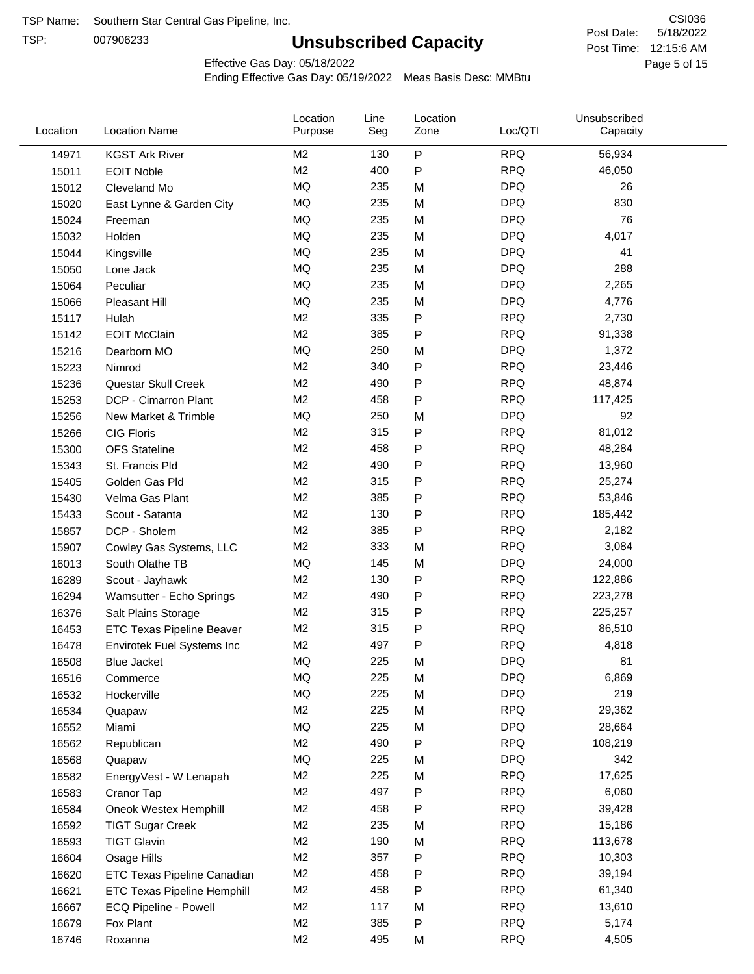TSP:

# **Unsubscribed Capacity**

5/18/2022 Page 5 of 15 Post Time: 12:15:6 AM CSI036 Post Date:

Effective Gas Day: 05/18/2022

| Location | <b>Location Name</b>               | Location<br>Purpose | Line<br>Seg | Location<br>Zone | Loc/QTI    | Unsubscribed<br>Capacity |  |
|----------|------------------------------------|---------------------|-------------|------------------|------------|--------------------------|--|
| 14971    | <b>KGST Ark River</b>              | M <sub>2</sub>      | 130         | P                | <b>RPQ</b> | 56,934                   |  |
| 15011    | <b>EOIT Noble</b>                  | M <sub>2</sub>      | 400         | P                | <b>RPQ</b> | 46,050                   |  |
| 15012    | Cleveland Mo                       | <b>MQ</b>           | 235         | M                | <b>DPQ</b> | 26                       |  |
| 15020    | East Lynne & Garden City           | MQ                  | 235         | M                | <b>DPQ</b> | 830                      |  |
| 15024    | Freeman                            | <b>MQ</b>           | 235         | M                | <b>DPQ</b> | 76                       |  |
| 15032    | Holden                             | <b>MQ</b>           | 235         | M                | <b>DPQ</b> | 4,017                    |  |
| 15044    | Kingsville                         | <b>MQ</b>           | 235         | M                | <b>DPQ</b> | 41                       |  |
| 15050    | Lone Jack                          | MQ                  | 235         | M                | <b>DPQ</b> | 288                      |  |
| 15064    | Peculiar                           | <b>MQ</b>           | 235         | M                | <b>DPQ</b> | 2,265                    |  |
| 15066    | Pleasant Hill                      | <b>MQ</b>           | 235         | M                | <b>DPQ</b> | 4,776                    |  |
| 15117    | Hulah                              | M <sub>2</sub>      | 335         | P                | <b>RPQ</b> | 2,730                    |  |
| 15142    | <b>EOIT McClain</b>                | M <sub>2</sub>      | 385         | P                | <b>RPQ</b> | 91,338                   |  |
| 15216    | Dearborn MO                        | MQ                  | 250         | M                | <b>DPQ</b> | 1,372                    |  |
| 15223    | Nimrod                             | M <sub>2</sub>      | 340         | P                | <b>RPQ</b> | 23,446                   |  |
| 15236    | Questar Skull Creek                | M <sub>2</sub>      | 490         | P                | <b>RPQ</b> | 48,874                   |  |
| 15253    | DCP - Cimarron Plant               | M <sub>2</sub>      | 458         | P                | <b>RPQ</b> | 117,425                  |  |
| 15256    | New Market & Trimble               | <b>MQ</b>           | 250         | M                | <b>DPQ</b> | 92                       |  |
| 15266    | <b>CIG Floris</b>                  | M <sub>2</sub>      | 315         | P                | <b>RPQ</b> | 81,012                   |  |
| 15300    | <b>OFS Stateline</b>               | M <sub>2</sub>      | 458         | P                | <b>RPQ</b> | 48,284                   |  |
| 15343    | St. Francis Pld                    | M <sub>2</sub>      | 490         | P                | <b>RPQ</b> | 13,960                   |  |
| 15405    | Golden Gas Pld                     | M <sub>2</sub>      | 315         | P                | <b>RPQ</b> | 25,274                   |  |
| 15430    | Velma Gas Plant                    | M <sub>2</sub>      | 385         | P                | <b>RPQ</b> | 53,846                   |  |
| 15433    | Scout - Satanta                    | M <sub>2</sub>      | 130         | P                | <b>RPQ</b> | 185,442                  |  |
| 15857    | DCP - Sholem                       | M <sub>2</sub>      | 385         | P                | <b>RPQ</b> | 2,182                    |  |
| 15907    | Cowley Gas Systems, LLC            | M <sub>2</sub>      | 333         | M                | <b>RPQ</b> | 3,084                    |  |
| 16013    | South Olathe TB                    | MQ                  | 145         | M                | <b>DPQ</b> | 24,000                   |  |
| 16289    | Scout - Jayhawk                    | M <sub>2</sub>      | 130         | P                | <b>RPQ</b> | 122,886                  |  |
| 16294    | Wamsutter - Echo Springs           | M <sub>2</sub>      | 490         | P                | <b>RPQ</b> | 223,278                  |  |
| 16376    | Salt Plains Storage                | M <sub>2</sub>      | 315         | P                | <b>RPQ</b> | 225,257                  |  |
| 16453    | <b>ETC Texas Pipeline Beaver</b>   | M <sub>2</sub>      | 315         | P                | <b>RPQ</b> | 86,510                   |  |
| 16478    | Envirotek Fuel Systems Inc         | M <sub>2</sub>      | 497         | P                | <b>RPQ</b> | 4,818                    |  |
| 16508    | Blue Jacket                        | <b>MQ</b>           | 225         | M                | <b>DPQ</b> | 81                       |  |
| 16516    | Commerce                           | MQ                  | 225         | M                | <b>DPQ</b> | 6,869                    |  |
| 16532    | Hockerville                        | <b>MQ</b>           | 225         | M                | <b>DPQ</b> | 219                      |  |
| 16534    | Quapaw                             | M <sub>2</sub>      | 225         | M                | <b>RPQ</b> | 29,362                   |  |
| 16552    | Miami                              | MQ                  | 225         | M                | <b>DPQ</b> | 28,664                   |  |
| 16562    | Republican                         | M <sub>2</sub>      | 490         | Ρ                | <b>RPQ</b> | 108,219                  |  |
| 16568    | Quapaw                             | MQ                  | 225         | M                | <b>DPQ</b> | 342                      |  |
| 16582    | EnergyVest - W Lenapah             | M <sub>2</sub>      | 225         | M                | <b>RPQ</b> | 17,625                   |  |
| 16583    | Cranor Tap                         | M <sub>2</sub>      | 497         | Ρ                | <b>RPQ</b> | 6,060                    |  |
| 16584    | Oneok Westex Hemphill              | M2                  | 458         | Ρ                | <b>RPQ</b> | 39,428                   |  |
| 16592    | <b>TIGT Sugar Creek</b>            | M <sub>2</sub>      | 235         | M                | <b>RPQ</b> | 15,186                   |  |
| 16593    | <b>TIGT Glavin</b>                 | M <sub>2</sub>      | 190         | M                | <b>RPQ</b> | 113,678                  |  |
| 16604    | Osage Hills                        | M <sub>2</sub>      | 357         | Ρ                | <b>RPQ</b> | 10,303                   |  |
| 16620    | <b>ETC Texas Pipeline Canadian</b> | M <sub>2</sub>      | 458         | P                | <b>RPQ</b> | 39,194                   |  |
| 16621    | <b>ETC Texas Pipeline Hemphill</b> | M <sub>2</sub>      | 458         | Ρ                | <b>RPQ</b> | 61,340                   |  |
| 16667    | ECQ Pipeline - Powell              | M <sub>2</sub>      | 117         | M                | <b>RPQ</b> | 13,610                   |  |
| 16679    | Fox Plant                          | M <sub>2</sub>      | 385         | Ρ                | <b>RPQ</b> | 5,174                    |  |
| 16746    | Roxanna                            | M <sub>2</sub>      | 495         | M                | <b>RPQ</b> | 4,505                    |  |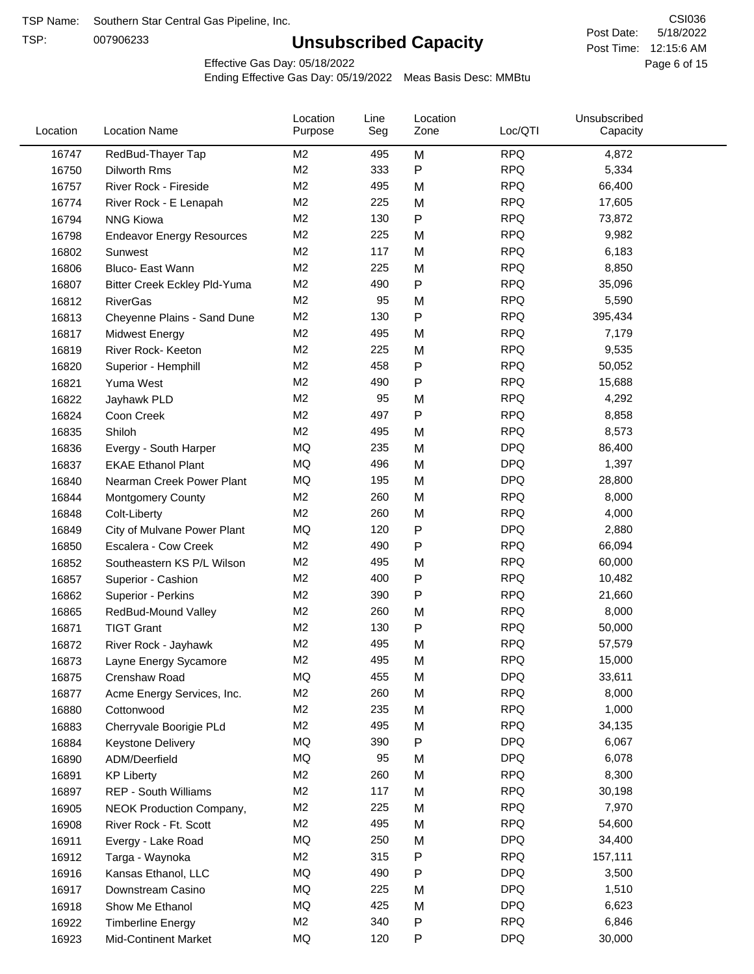TSP:

# **Unsubscribed Capacity**

5/18/2022 Page 6 of 15 Post Time: 12:15:6 AM CSI036 Post Date:

Effective Gas Day: 05/18/2022

| Location | <b>Location Name</b>             | Location<br>Purpose | Line<br>Seg | Location<br>Zone | Loc/QTI    | Unsubscribed<br>Capacity |  |
|----------|----------------------------------|---------------------|-------------|------------------|------------|--------------------------|--|
| 16747    | RedBud-Thayer Tap                | M <sub>2</sub>      | 495         | M                | <b>RPQ</b> | 4,872                    |  |
| 16750    | <b>Dilworth Rms</b>              | M <sub>2</sub>      | 333         | $\mathsf{P}$     | <b>RPQ</b> | 5,334                    |  |
| 16757    | River Rock - Fireside            | M <sub>2</sub>      | 495         | M                | <b>RPQ</b> | 66,400                   |  |
| 16774    | River Rock - E Lenapah           | M <sub>2</sub>      | 225         | M                | <b>RPQ</b> | 17,605                   |  |
| 16794    | <b>NNG Kiowa</b>                 | M <sub>2</sub>      | 130         | $\mathsf{P}$     | <b>RPQ</b> | 73,872                   |  |
| 16798    | <b>Endeavor Energy Resources</b> | M <sub>2</sub>      | 225         | M                | <b>RPQ</b> | 9,982                    |  |
| 16802    | Sunwest                          | M <sub>2</sub>      | 117         | M                | <b>RPQ</b> | 6,183                    |  |
| 16806    | Bluco- East Wann                 | M <sub>2</sub>      | 225         | M                | <b>RPQ</b> | 8,850                    |  |
| 16807    | Bitter Creek Eckley Pld-Yuma     | M <sub>2</sub>      | 490         | $\mathsf{P}$     | <b>RPQ</b> | 35,096                   |  |
| 16812    | <b>RiverGas</b>                  | M <sub>2</sub>      | 95          | M                | <b>RPQ</b> | 5,590                    |  |
| 16813    | Cheyenne Plains - Sand Dune      | M <sub>2</sub>      | 130         | $\mathsf{P}$     | <b>RPQ</b> | 395,434                  |  |
| 16817    | <b>Midwest Energy</b>            | M <sub>2</sub>      | 495         | M                | <b>RPQ</b> | 7,179                    |  |
| 16819    | River Rock- Keeton               | M <sub>2</sub>      | 225         | M                | <b>RPQ</b> | 9,535                    |  |
| 16820    | Superior - Hemphill              | M <sub>2</sub>      | 458         | $\mathsf{P}$     | <b>RPQ</b> | 50,052                   |  |
| 16821    | Yuma West                        | M <sub>2</sub>      | 490         | $\mathsf{P}$     | <b>RPQ</b> | 15,688                   |  |
| 16822    | Jayhawk PLD                      | M <sub>2</sub>      | 95          | M                | <b>RPQ</b> | 4,292                    |  |
| 16824    | Coon Creek                       | M <sub>2</sub>      | 497         | $\mathsf{P}$     | <b>RPQ</b> | 8,858                    |  |
| 16835    | Shiloh                           | M <sub>2</sub>      | 495         | M                | <b>RPQ</b> | 8,573                    |  |
| 16836    | Evergy - South Harper            | MQ                  | 235         | M                | <b>DPQ</b> | 86,400                   |  |
| 16837    | <b>EKAE Ethanol Plant</b>        | MQ                  | 496         | M                | <b>DPQ</b> | 1,397                    |  |
| 16840    | Nearman Creek Power Plant        | MQ                  | 195         | M                | <b>DPQ</b> | 28,800                   |  |
| 16844    | <b>Montgomery County</b>         | M <sub>2</sub>      | 260         | M                | <b>RPQ</b> | 8,000                    |  |
| 16848    | Colt-Liberty                     | M <sub>2</sub>      | 260         | M                | <b>RPQ</b> | 4,000                    |  |
| 16849    | City of Mulvane Power Plant      | MQ                  | 120         | ${\sf P}$        | <b>DPQ</b> | 2,880                    |  |
| 16850    | Escalera - Cow Creek             | M <sub>2</sub>      | 490         | $\mathsf{P}$     | <b>RPQ</b> | 66,094                   |  |
| 16852    | Southeastern KS P/L Wilson       | M <sub>2</sub>      | 495         | M                | <b>RPQ</b> | 60,000                   |  |
| 16857    | Superior - Cashion               | M <sub>2</sub>      | 400         | $\mathsf{P}$     | <b>RPQ</b> | 10,482                   |  |
| 16862    | Superior - Perkins               | M <sub>2</sub>      | 390         | $\mathsf{P}$     | <b>RPQ</b> | 21,660                   |  |
| 16865    | RedBud-Mound Valley              | M <sub>2</sub>      | 260         | M                | <b>RPQ</b> | 8,000                    |  |
| 16871    | <b>TIGT Grant</b>                | M <sub>2</sub>      | 130         | $\mathsf{P}$     | <b>RPQ</b> | 50,000                   |  |
| 16872    | River Rock - Jayhawk             | M <sub>2</sub>      | 495         | M                | <b>RPQ</b> | 57,579                   |  |
| 16873    | Layne Energy Sycamore            | M <sub>2</sub>      | 495         | M                | <b>RPQ</b> | 15,000                   |  |
| 16875    | Crenshaw Road                    | MQ                  | 455         | M                | <b>DPQ</b> | 33,611                   |  |
| 16877    | Acme Energy Services, Inc.       | M <sub>2</sub>      | 260         | M                | <b>RPQ</b> | 8,000                    |  |
| 16880    | Cottonwood                       | M <sub>2</sub>      | 235         | M                | <b>RPQ</b> | 1,000                    |  |
| 16883    | Cherryvale Boorigie PLd          | M <sub>2</sub>      | 495         | M                | <b>RPQ</b> | 34,135                   |  |
| 16884    | <b>Keystone Delivery</b>         | MQ                  | 390         | P                | <b>DPQ</b> | 6,067                    |  |
| 16890    | ADM/Deerfield                    | MQ                  | 95          | M                | <b>DPQ</b> | 6,078                    |  |
| 16891    | <b>KP Liberty</b>                | M <sub>2</sub>      | 260         | M                | <b>RPQ</b> | 8,300                    |  |
| 16897    | REP - South Williams             | M <sub>2</sub>      | 117         | M                | <b>RPQ</b> | 30,198                   |  |
| 16905    | <b>NEOK Production Company,</b>  | M <sub>2</sub>      | 225         | M                | <b>RPQ</b> | 7,970                    |  |
| 16908    | River Rock - Ft. Scott           | M <sub>2</sub>      | 495         | M                | <b>RPQ</b> | 54,600                   |  |
| 16911    | Evergy - Lake Road               | MQ                  | 250         | M                | <b>DPQ</b> | 34,400                   |  |
| 16912    | Targa - Waynoka                  | M <sub>2</sub>      | 315         | P                | <b>RPQ</b> | 157,111                  |  |
| 16916    | Kansas Ethanol, LLC              | MQ                  | 490         | $\mathsf{P}$     | <b>DPQ</b> | 3,500                    |  |
| 16917    | Downstream Casino                | MQ                  | 225         | M                | <b>DPQ</b> | 1,510                    |  |
| 16918    | Show Me Ethanol                  | MQ                  | 425         | M                | <b>DPQ</b> | 6,623                    |  |
| 16922    | <b>Timberline Energy</b>         | M <sub>2</sub>      | 340         | ${\sf P}$        | <b>RPQ</b> | 6,846                    |  |
| 16923    | <b>Mid-Continent Market</b>      | MQ                  | 120         | P                | <b>DPQ</b> | 30,000                   |  |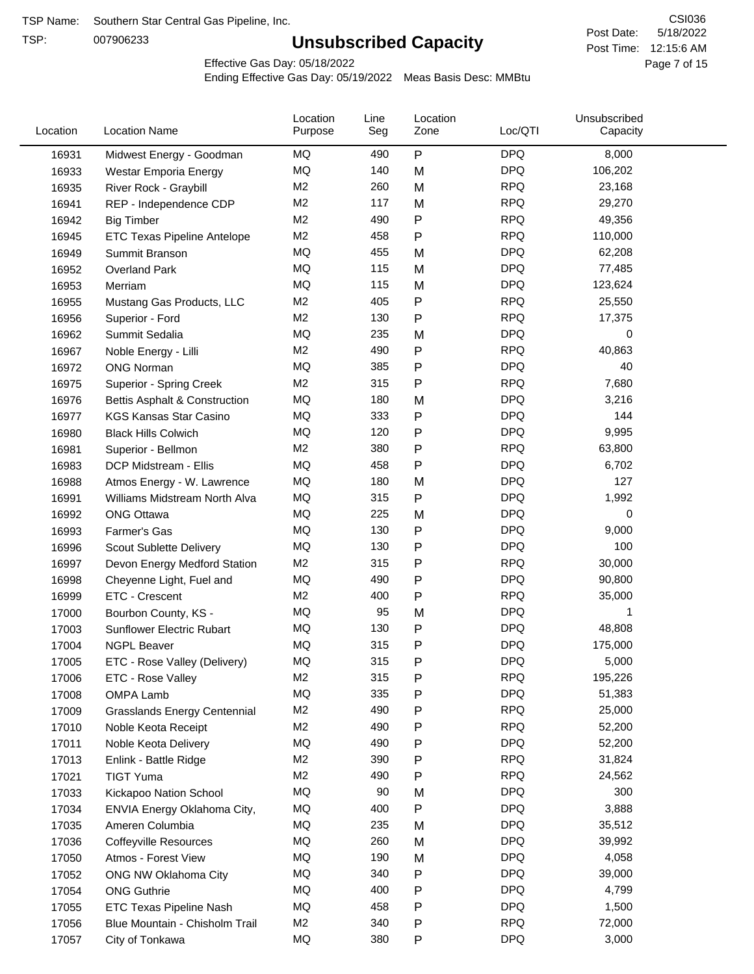TSP:

# **Unsubscribed Capacity**

5/18/2022 Page 7 of 15 Post Time: 12:15:6 AM CSI036 Post Date:

Effective Gas Day: 05/18/2022

| Location | <b>Location Name</b>                | Location<br>Purpose  | Line<br>Seg | Location<br>Zone | Loc/QTI                  | Unsubscribed<br>Capacity |  |
|----------|-------------------------------------|----------------------|-------------|------------------|--------------------------|--------------------------|--|
| 16931    | Midwest Energy - Goodman            | ΜQ                   | 490         | P                | <b>DPQ</b>               | 8,000                    |  |
| 16933    | Westar Emporia Energy               | MQ                   | 140         | M                | <b>DPQ</b>               | 106,202                  |  |
| 16935    | River Rock - Graybill               | M <sub>2</sub>       | 260         | M                | <b>RPQ</b>               | 23,168                   |  |
| 16941    | REP - Independence CDP              | M2                   | 117         | M                | <b>RPQ</b>               | 29,270                   |  |
| 16942    | <b>Big Timber</b>                   | M <sub>2</sub>       | 490         | P                | <b>RPQ</b>               | 49,356                   |  |
| 16945    | ETC Texas Pipeline Antelope         | M <sub>2</sub>       | 458         | Ρ                | <b>RPQ</b>               | 110,000                  |  |
| 16949    | Summit Branson                      | MQ                   | 455         | M                | <b>DPQ</b>               | 62,208                   |  |
| 16952    | Overland Park                       | MQ                   | 115         | M                | <b>DPQ</b>               | 77,485                   |  |
| 16953    | Merriam                             | MQ                   | 115         | M                | <b>DPQ</b>               | 123,624                  |  |
| 16955    | Mustang Gas Products, LLC           | M <sub>2</sub>       | 405         | P                | <b>RPQ</b>               | 25,550                   |  |
| 16956    | Superior - Ford                     | M <sub>2</sub>       | 130         | Ρ                | <b>RPQ</b>               | 17,375                   |  |
| 16962    | Summit Sedalia                      | <b>MQ</b>            | 235         | M                | <b>DPQ</b>               | 0                        |  |
| 16967    | Noble Energy - Lilli                | M <sub>2</sub>       | 490         | Ρ                | <b>RPQ</b>               | 40,863                   |  |
| 16972    | <b>ONG Norman</b>                   | MQ                   | 385         | Ρ                | <b>DPQ</b>               | 40                       |  |
| 16975    | Superior - Spring Creek             | M <sub>2</sub>       | 315         | Ρ                | <b>RPQ</b>               | 7,680                    |  |
| 16976    | Bettis Asphalt & Construction       | MQ                   | 180         | M                | <b>DPQ</b>               | 3,216                    |  |
| 16977    | <b>KGS Kansas Star Casino</b>       | MQ                   | 333         | Ρ                | <b>DPQ</b>               | 144                      |  |
| 16980    | <b>Black Hills Colwich</b>          | MQ                   | 120         | Ρ                | <b>DPQ</b>               | 9,995                    |  |
| 16981    | Superior - Bellmon                  | M <sub>2</sub>       | 380         | Ρ                | <b>RPQ</b>               | 63,800                   |  |
| 16983    | DCP Midstream - Ellis               | MQ                   | 458         | Ρ                | <b>DPQ</b>               | 6,702                    |  |
| 16988    | Atmos Energy - W. Lawrence          | MQ                   | 180         | M                | <b>DPQ</b>               | 127                      |  |
| 16991    | Williams Midstream North Alva       | MQ                   | 315         | P                | <b>DPQ</b>               | 1,992                    |  |
| 16992    | <b>ONG Ottawa</b>                   | MQ                   | 225         | M                | <b>DPQ</b>               | 0                        |  |
| 16993    | Farmer's Gas                        | MQ                   | 130         | Ρ                | <b>DPQ</b>               | 9,000                    |  |
|          |                                     | MQ                   | 130         | Ρ                | <b>DPQ</b>               | 100                      |  |
| 16996    | Scout Sublette Delivery             | M <sub>2</sub>       | 315         |                  | <b>RPQ</b>               | 30,000                   |  |
| 16997    | Devon Energy Medford Station        |                      |             | Ρ                |                          |                          |  |
| 16998    | Cheyenne Light, Fuel and            | MQ<br>M <sub>2</sub> | 490<br>400  | P                | <b>DPQ</b><br><b>RPQ</b> | 90,800                   |  |
| 16999    | ETC - Crescent                      |                      |             | P                |                          | 35,000                   |  |
| 17000    | Bourbon County, KS -                | MQ                   | 95          | M                | <b>DPQ</b>               | 1                        |  |
| 17003    | Sunflower Electric Rubart           | MQ                   | 130         | Ρ                | <b>DPQ</b>               | 48,808                   |  |
| 17004    | <b>NGPL Beaver</b>                  | MQ                   | 315         | Ρ                | <b>DPQ</b>               | 175,000                  |  |
| 17005    | ETC - Rose Valley (Delivery)        | MQ                   | 315         | P                | <b>DPQ</b>               | 5,000                    |  |
| 17006    | ETC - Rose Valley                   | M2                   | 315         | Ρ                | <b>RPQ</b>               | 195,226                  |  |
| 17008    | OMPA Lamb                           | MQ                   | 335         | P                | <b>DPQ</b>               | 51,383                   |  |
| 17009    | <b>Grasslands Energy Centennial</b> | M <sub>2</sub>       | 490         | Ρ                | <b>RPQ</b>               | 25,000                   |  |
| 17010    | Noble Keota Receipt                 | M <sub>2</sub>       | 490         | P                | <b>RPQ</b>               | 52,200                   |  |
| 17011    | Noble Keota Delivery                | MQ                   | 490         | P                | <b>DPQ</b>               | 52,200                   |  |
| 17013    | Enlink - Battle Ridge               | M2                   | 390         | Ρ                | <b>RPQ</b>               | 31,824                   |  |
| 17021    | <b>TIGT Yuma</b>                    | M <sub>2</sub>       | 490         | Ρ                | <b>RPQ</b>               | 24,562                   |  |
| 17033    | Kickapoo Nation School              | MQ                   | 90          | M                | <b>DPQ</b>               | 300                      |  |
| 17034    | ENVIA Energy Oklahoma City,         | MQ                   | 400         | Ρ                | <b>DPQ</b>               | 3,888                    |  |
| 17035    | Ameren Columbia                     | MQ                   | 235         | M                | <b>DPQ</b>               | 35,512                   |  |
| 17036    | <b>Coffeyville Resources</b>        | MQ                   | 260         | M                | <b>DPQ</b>               | 39,992                   |  |
| 17050    | Atmos - Forest View                 | MQ                   | 190         | M                | <b>DPQ</b>               | 4,058                    |  |
| 17052    | ONG NW Oklahoma City                | MQ                   | 340         | Ρ                | <b>DPQ</b>               | 39,000                   |  |
| 17054    | <b>ONG Guthrie</b>                  | MQ                   | 400         | Ρ                | <b>DPQ</b>               | 4,799                    |  |
| 17055    | <b>ETC Texas Pipeline Nash</b>      | MQ                   | 458         | Ρ                | <b>DPQ</b>               | 1,500                    |  |
| 17056    | Blue Mountain - Chisholm Trail      | M <sub>2</sub>       | 340         | P                | <b>RPQ</b>               | 72,000                   |  |
| 17057    | City of Tonkawa                     | MQ                   | 380         | P                | <b>DPQ</b>               | 3,000                    |  |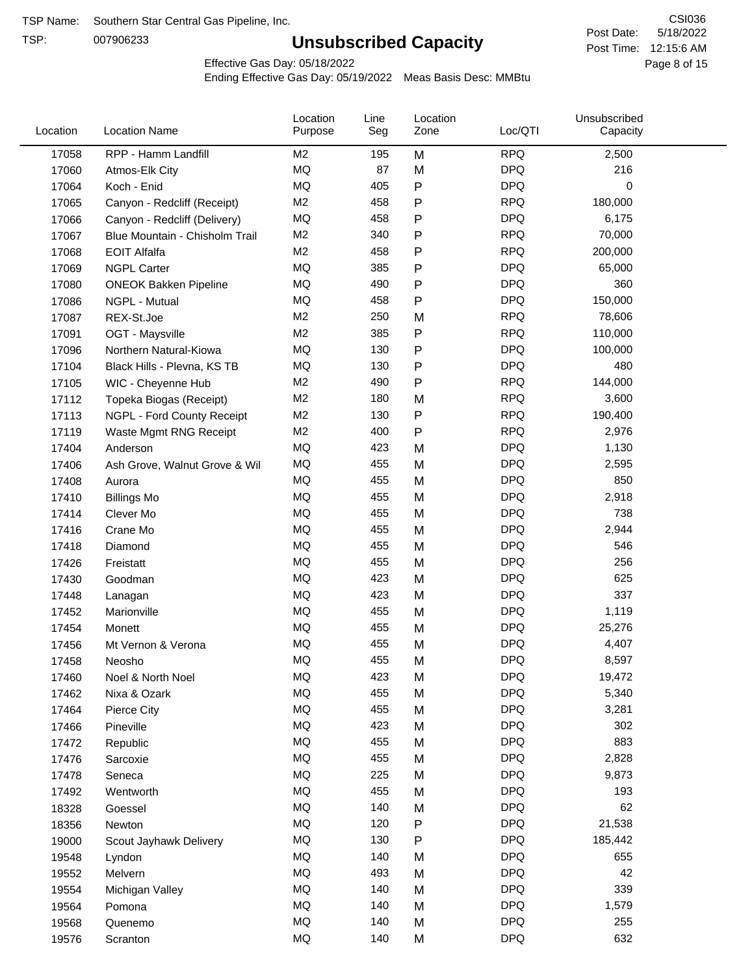TSP:

# **Unsubscribed Capacity**

5/18/2022 Page 8 of 15 Post Time: 12:15:6 AM CSI036 Post Date:

Effective Gas Day: 05/18/2022

| Location | <b>Location Name</b>           | Location<br>Purpose | Line<br>Seg | Location<br>Zone | Loc/QTI    | Unsubscribed<br>Capacity |  |
|----------|--------------------------------|---------------------|-------------|------------------|------------|--------------------------|--|
| 17058    | RPP - Hamm Landfill            | M2                  | 195         | M                | <b>RPQ</b> | 2,500                    |  |
| 17060    | Atmos-Elk City                 | MQ                  | 87          | M                | <b>DPQ</b> | 216                      |  |
| 17064    | Koch - Enid                    | MQ                  | 405         | P                | <b>DPQ</b> | 0                        |  |
| 17065    | Canyon - Redcliff (Receipt)    | M <sub>2</sub>      | 458         | P                | <b>RPQ</b> | 180,000                  |  |
| 17066    | Canyon - Redcliff (Delivery)   | MQ                  | 458         | P                | <b>DPQ</b> | 6,175                    |  |
| 17067    | Blue Mountain - Chisholm Trail | M <sub>2</sub>      | 340         | P                | <b>RPQ</b> | 70,000                   |  |
| 17068    | <b>EOIT Alfalfa</b>            | M <sub>2</sub>      | 458         | Ρ                | <b>RPQ</b> | 200,000                  |  |
| 17069    | <b>NGPL Carter</b>             | <b>MQ</b>           | 385         | P                | <b>DPQ</b> | 65,000                   |  |
| 17080    | <b>ONEOK Bakken Pipeline</b>   | MQ                  | 490         | P                | <b>DPQ</b> | 360                      |  |
| 17086    | NGPL - Mutual                  | <b>MQ</b>           | 458         | P                | <b>DPQ</b> | 150,000                  |  |
| 17087    | REX-St.Joe                     | M <sub>2</sub>      | 250         | M                | <b>RPQ</b> | 78,606                   |  |
| 17091    | OGT - Maysville                | M <sub>2</sub>      | 385         | P                | <b>RPQ</b> | 110,000                  |  |
| 17096    | Northern Natural-Kiowa         | MQ                  | 130         | P                | <b>DPQ</b> | 100,000                  |  |
| 17104    | Black Hills - Plevna, KS TB    | MQ                  | 130         | Ρ                | <b>DPQ</b> | 480                      |  |
| 17105    | WIC - Cheyenne Hub             | M <sub>2</sub>      | 490         | P                | <b>RPQ</b> | 144,000                  |  |
| 17112    | Topeka Biogas (Receipt)        | M <sub>2</sub>      | 180         | M                | <b>RPQ</b> | 3,600                    |  |
| 17113    | NGPL - Ford County Receipt     | M <sub>2</sub>      | 130         | P                | <b>RPQ</b> | 190,400                  |  |
| 17119    | Waste Mgmt RNG Receipt         | M2                  | 400         | P                | <b>RPQ</b> | 2,976                    |  |
| 17404    | Anderson                       | <b>MQ</b>           | 423         | M                | <b>DPQ</b> | 1,130                    |  |
| 17406    | Ash Grove, Walnut Grove & Wil  | MQ                  | 455         | M                | <b>DPQ</b> | 2,595                    |  |
| 17408    | Aurora                         | MQ                  | 455         | M                | <b>DPQ</b> | 850                      |  |
| 17410    | <b>Billings Mo</b>             | <b>MQ</b>           | 455         | M                | <b>DPQ</b> | 2,918                    |  |
| 17414    | Clever Mo                      | <b>MQ</b>           | 455         | M                | <b>DPQ</b> | 738                      |  |
| 17416    | Crane Mo                       | <b>MQ</b>           | 455         | M                | <b>DPQ</b> | 2,944                    |  |
| 17418    | Diamond                        | <b>MQ</b>           | 455         | M                | <b>DPQ</b> | 546                      |  |
| 17426    | Freistatt                      | MQ                  | 455         | M                | <b>DPQ</b> | 256                      |  |
| 17430    | Goodman                        | <b>MQ</b>           | 423         | M                | <b>DPQ</b> | 625                      |  |
| 17448    | Lanagan                        | <b>MQ</b>           | 423         | M                | <b>DPQ</b> | 337                      |  |
| 17452    | Marionville                    | <b>MQ</b>           | 455         | M                | <b>DPQ</b> | 1,119                    |  |
| 17454    | Monett                         | MQ                  | 455         | M                | <b>DPQ</b> | 25,276                   |  |
| 17456    | Mt Vernon & Verona             | <b>MQ</b>           | 455         | M                | <b>DPQ</b> | 4,407                    |  |
| 17458    | Neosho                         | MQ                  | 455         | M                | <b>DPQ</b> | 8,597                    |  |
| 17460    | Noel & North Noel              | MQ                  | 423         | M                | <b>DPQ</b> | 19,472                   |  |
| 17462    | Nixa & Ozark                   | $\sf{MQ}$           | 455         | M                | <b>DPQ</b> | 5,340                    |  |
| 17464    | Pierce City                    | MQ                  | 455         | M                | <b>DPQ</b> | 3,281                    |  |
| 17466    | Pineville                      | MQ                  | 423         | M                | <b>DPQ</b> | 302                      |  |
| 17472    | Republic                       | MQ                  | 455         | M                | <b>DPQ</b> | 883                      |  |
| 17476    | Sarcoxie                       | MQ                  | 455         | M                | <b>DPQ</b> | 2,828                    |  |
| 17478    | Seneca                         | MQ                  | 225         | M                | <b>DPQ</b> | 9,873                    |  |
| 17492    | Wentworth                      | MQ                  | 455         | M                | <b>DPQ</b> | 193                      |  |
| 18328    | Goessel                        | MQ                  | 140         | M                | <b>DPQ</b> | 62                       |  |
| 18356    | Newton                         | MQ                  | 120         | P                | <b>DPQ</b> | 21,538                   |  |
| 19000    | Scout Jayhawk Delivery         | $\sf{MQ}$           | 130         | P                | <b>DPQ</b> | 185,442                  |  |
| 19548    | Lyndon                         | MQ                  | 140         | M                | <b>DPQ</b> | 655                      |  |
| 19552    | Melvern                        | MQ                  | 493         | M                | <b>DPQ</b> | 42                       |  |
| 19554    | Michigan Valley                | MQ                  | 140         | M                | <b>DPQ</b> | 339                      |  |
| 19564    | Pomona                         | MQ                  | 140         | M                | <b>DPQ</b> | 1,579                    |  |
| 19568    | Quenemo                        | MQ                  | 140         | M                | <b>DPQ</b> | 255                      |  |
| 19576    | Scranton                       | MQ                  | 140         | M                | <b>DPQ</b> | 632                      |  |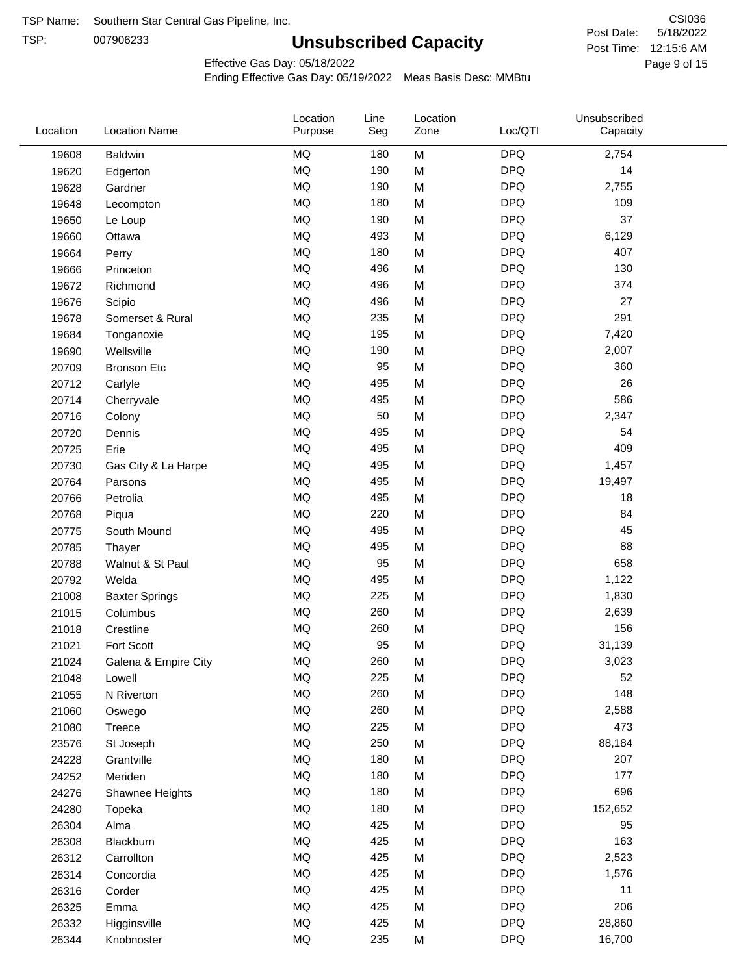TSP:

# **Unsubscribed Capacity**

5/18/2022 Page 9 of 15 Post Time: 12:15:6 AM CSI036 Post Date:

Unsubscribed

Effective Gas Day: 05/18/2022

Location

Ending Effective Gas Day: 05/19/2022 Meas Basis Desc: MMBtu

Line

Location

| Location | <b>Location Name</b>  | Purpose   | Seg | Zone | Loc/QTI    | Capacity |  |
|----------|-----------------------|-----------|-----|------|------------|----------|--|
| 19608    | Baldwin               | <b>MQ</b> | 180 | M    | <b>DPQ</b> | 2,754    |  |
| 19620    | Edgerton              | <b>MQ</b> | 190 | M    | <b>DPQ</b> | 14       |  |
| 19628    | Gardner               | <b>MQ</b> | 190 | M    | <b>DPQ</b> | 2,755    |  |
| 19648    | Lecompton             | <b>MQ</b> | 180 | M    | <b>DPQ</b> | 109      |  |
| 19650    | Le Loup               | <b>MQ</b> | 190 | M    | <b>DPQ</b> | 37       |  |
| 19660    | Ottawa                | MQ        | 493 | M    | <b>DPQ</b> | 6,129    |  |
| 19664    | Perry                 | MQ        | 180 | M    | <b>DPQ</b> | 407      |  |
| 19666    | Princeton             | MQ        | 496 | M    | <b>DPQ</b> | 130      |  |
| 19672    | Richmond              | MQ        | 496 | M    | <b>DPQ</b> | 374      |  |
| 19676    | Scipio                | <b>MQ</b> | 496 | M    | <b>DPQ</b> | 27       |  |
| 19678    | Somerset & Rural      | <b>MQ</b> | 235 | M    | <b>DPQ</b> | 291      |  |
| 19684    | Tonganoxie            | <b>MQ</b> | 195 | M    | <b>DPQ</b> | 7,420    |  |
| 19690    | Wellsville            | MQ        | 190 | M    | <b>DPQ</b> | 2,007    |  |
| 20709    | <b>Bronson Etc</b>    | <b>MQ</b> | 95  | M    | <b>DPQ</b> | 360      |  |
| 20712    | Carlyle               | MQ        | 495 | M    | <b>DPQ</b> | 26       |  |
| 20714    | Cherryvale            | MQ        | 495 | M    | <b>DPQ</b> | 586      |  |
| 20716    | Colony                | <b>MQ</b> | 50  | M    | <b>DPQ</b> | 2,347    |  |
| 20720    | Dennis                | <b>MQ</b> | 495 | M    | <b>DPQ</b> | 54       |  |
| 20725    | Erie                  | MQ        | 495 | M    | <b>DPQ</b> | 409      |  |
| 20730    | Gas City & La Harpe   | <b>MQ</b> | 495 | M    | <b>DPQ</b> | 1,457    |  |
| 20764    | Parsons               | <b>MQ</b> | 495 | M    | <b>DPQ</b> | 19,497   |  |
| 20766    | Petrolia              | <b>MQ</b> | 495 | M    | <b>DPQ</b> | 18       |  |
| 20768    | Piqua                 | MQ        | 220 | M    | <b>DPQ</b> | 84       |  |
| 20775    | South Mound           | MQ        | 495 | M    | <b>DPQ</b> | 45       |  |
| 20785    | Thayer                | <b>MQ</b> | 495 | M    | <b>DPQ</b> | 88       |  |
| 20788    | Walnut & St Paul      | MQ        | 95  | M    | <b>DPQ</b> | 658      |  |
| 20792    | Welda                 | <b>MQ</b> | 495 | M    | <b>DPQ</b> | 1,122    |  |
| 21008    | <b>Baxter Springs</b> | MQ        | 225 | M    | <b>DPQ</b> | 1,830    |  |
| 21015    | Columbus              | <b>MQ</b> | 260 | M    | <b>DPQ</b> | 2,639    |  |
| 21018    | Crestline             | MQ        | 260 | M    | <b>DPQ</b> | 156      |  |
| 21021    | Fort Scott            | <b>MQ</b> | 95  | M    | <b>DPQ</b> | 31,139   |  |
| 21024    | Galena & Empire City  | <b>MQ</b> | 260 | M    | <b>DPQ</b> | 3,023    |  |
| 21048    | Lowell                | <b>MQ</b> | 225 | M    | <b>DPQ</b> | 52       |  |
| 21055    | N Riverton            | MQ        | 260 | M    | <b>DPQ</b> | 148      |  |
| 21060    | Oswego                | MQ        | 260 | M    | <b>DPQ</b> | 2,588    |  |
| 21080    | <b>Treece</b>         | MQ        | 225 | M    | <b>DPQ</b> | 473      |  |
| 23576    | St Joseph             | MQ        | 250 | M    | <b>DPQ</b> | 88,184   |  |
| 24228    | Grantville            | MQ        | 180 | M    | <b>DPQ</b> | 207      |  |
| 24252    | Meriden               | MQ        | 180 | M    | <b>DPQ</b> | 177      |  |
| 24276    | Shawnee Heights       | MQ        | 180 | M    | <b>DPQ</b> | 696      |  |
| 24280    | Topeka                | MQ        | 180 | M    | <b>DPQ</b> | 152,652  |  |
| 26304    | Alma                  | MQ        | 425 | M    | <b>DPQ</b> | 95       |  |
| 26308    | Blackburn             | $\sf{MQ}$ | 425 | M    | <b>DPQ</b> | 163      |  |
| 26312    | Carrollton            | MQ        | 425 | M    | <b>DPQ</b> | 2,523    |  |
| 26314    | Concordia             | MQ        | 425 | M    | <b>DPQ</b> | 1,576    |  |
| 26316    | Corder                | MQ        | 425 | M    | <b>DPQ</b> | 11       |  |
| 26325    | Emma                  | MQ        | 425 | M    | <b>DPQ</b> | 206      |  |
| 26332    | Higginsville          | $\sf{MQ}$ | 425 | M    | <b>DPQ</b> | 28,860   |  |
| 26344    | Knobnoster            | $\sf{MQ}$ | 235 | M    | <b>DPQ</b> | 16,700   |  |
|          |                       |           |     |      |            |          |  |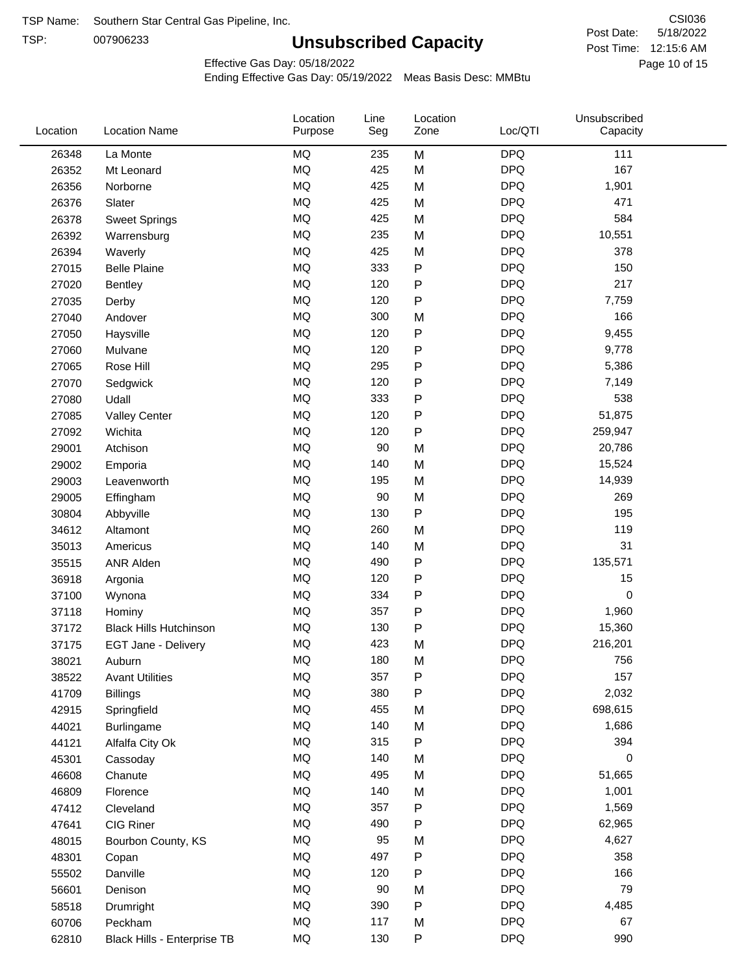TSP:

# **Unsubscribed Capacity**

5/18/2022 Page 10 of 15 Post Time: 12:15:6 AM CSI036 Post Date:

Effective Gas Day: 05/18/2022

| Location | <b>Location Name</b>          | Location<br>Purpose | Line<br>Seg | Location<br>Zone | Loc/QTI    | Unsubscribed<br>Capacity |  |
|----------|-------------------------------|---------------------|-------------|------------------|------------|--------------------------|--|
| 26348    | La Monte                      | MQ                  | 235         | M                | <b>DPQ</b> | 111                      |  |
| 26352    | Mt Leonard                    | MQ                  | 425         | M                | <b>DPQ</b> | 167                      |  |
| 26356    | Norborne                      | MQ                  | 425         | M                | <b>DPQ</b> | 1,901                    |  |
| 26376    | Slater                        | MQ                  | 425         | M                | <b>DPQ</b> | 471                      |  |
| 26378    | <b>Sweet Springs</b>          | <b>MQ</b>           | 425         | M                | <b>DPQ</b> | 584                      |  |
| 26392    | Warrensburg                   | MQ                  | 235         | M                | <b>DPQ</b> | 10,551                   |  |
| 26394    | Waverly                       | MQ                  | 425         | M                | <b>DPQ</b> | 378                      |  |
| 27015    | <b>Belle Plaine</b>           | MQ                  | 333         | $\mathsf{P}$     | <b>DPQ</b> | 150                      |  |
| 27020    | Bentley                       | MQ                  | 120         | ${\sf P}$        | <b>DPQ</b> | 217                      |  |
| 27035    | Derby                         | MQ                  | 120         | ${\sf P}$        | <b>DPQ</b> | 7,759                    |  |
| 27040    | Andover                       | MQ                  | 300         | M                | <b>DPQ</b> | 166                      |  |
| 27050    | Haysville                     | MQ                  | 120         | P                | <b>DPQ</b> | 9,455                    |  |
| 27060    | Mulvane                       | MQ                  | 120         | $\mathsf{P}$     | <b>DPQ</b> | 9,778                    |  |
| 27065    | Rose Hill                     | MQ                  | 295         | P                | <b>DPQ</b> | 5,386                    |  |
| 27070    | Sedgwick                      | MQ                  | 120         | ${\sf P}$        | <b>DPQ</b> | 7,149                    |  |
| 27080    | Udall                         | MQ                  | 333         | P                | <b>DPQ</b> | 538                      |  |
| 27085    | <b>Valley Center</b>          | MQ                  | 120         | $\mathsf{P}$     | <b>DPQ</b> | 51,875                   |  |
| 27092    | Wichita                       | MQ                  | 120         | $\mathsf{P}$     | <b>DPQ</b> | 259,947                  |  |
| 29001    | Atchison                      | MQ                  | 90          | M                | <b>DPQ</b> | 20,786                   |  |
| 29002    | Emporia                       | MQ                  | 140         | M                | <b>DPQ</b> | 15,524                   |  |
| 29003    | Leavenworth                   | MQ                  | 195         | M                | <b>DPQ</b> | 14,939                   |  |
| 29005    | Effingham                     | MQ                  | 90          | M                | <b>DPQ</b> | 269                      |  |
| 30804    | Abbyville                     | MQ                  | 130         | $\mathsf{P}$     | <b>DPQ</b> | 195                      |  |
| 34612    | Altamont                      | MQ                  | 260         | M                | <b>DPQ</b> | 119                      |  |
| 35013    | Americus                      | MQ                  | 140         | M                | <b>DPQ</b> | 31                       |  |
| 35515    | <b>ANR Alden</b>              | MQ                  | 490         | $\mathsf{P}$     | <b>DPQ</b> | 135,571                  |  |
| 36918    | Argonia                       | MQ                  | 120         | ${\sf P}$        | <b>DPQ</b> | 15                       |  |
| 37100    | Wynona                        | MQ                  | 334         | P                | <b>DPQ</b> | $\mathbf 0$              |  |
| 37118    | Hominy                        | MQ                  | 357         | P                | <b>DPQ</b> | 1,960                    |  |
| 37172    | <b>Black Hills Hutchinson</b> | MQ                  | 130         | P                | <b>DPQ</b> | 15,360                   |  |
| 37175    | EGT Jane - Delivery           | MQ                  | 423         | M                | <b>DPQ</b> | 216,201                  |  |
| 38021    | Auburn                        | MQ                  | 180         | M                | <b>DPQ</b> | 756                      |  |
| 38522    | <b>Avant Utilities</b>        | MQ                  | 357         | ${\sf P}$        | <b>DPQ</b> | 157                      |  |
| 41709    | <b>Billings</b>               | MQ                  | 380         | $\mathsf{P}$     | <b>DPQ</b> | 2,032                    |  |
| 42915    | Springfield                   | MQ                  | 455         | M                | <b>DPQ</b> | 698,615                  |  |
| 44021    | Burlingame                    | MQ                  | 140         | M                | <b>DPQ</b> | 1,686                    |  |
| 44121    | Alfalfa City Ok               | MQ                  | 315         | ${\sf P}$        | <b>DPQ</b> | 394                      |  |
| 45301    | Cassoday                      | <b>MQ</b>           | 140         | M                | <b>DPQ</b> | 0                        |  |
| 46608    | Chanute                       | MQ                  | 495         | M                | <b>DPQ</b> | 51,665                   |  |
| 46809    | Florence                      | MQ                  | 140         | M                | <b>DPQ</b> | 1,001                    |  |
| 47412    | Cleveland                     | MQ                  | 357         | $\mathsf{P}$     | <b>DPQ</b> | 1,569                    |  |
| 47641    | CIG Riner                     | MQ                  | 490         | ${\sf P}$        | <b>DPQ</b> | 62,965                   |  |
| 48015    | Bourbon County, KS            | MQ                  | 95          | M                | <b>DPQ</b> | 4,627                    |  |
| 48301    | Copan                         | MQ                  | 497         | ${\sf P}$        | <b>DPQ</b> | 358                      |  |
| 55502    | Danville                      | MQ                  | 120         | ${\sf P}$        | <b>DPQ</b> | 166                      |  |
| 56601    | Denison                       | MQ                  | $90\,$      | M                | <b>DPQ</b> | 79                       |  |
| 58518    | Drumright                     | MQ                  | 390         | ${\sf P}$        | <b>DPQ</b> | 4,485                    |  |
| 60706    | Peckham                       | MQ                  | 117         | M                | <b>DPQ</b> | 67                       |  |
| 62810    | Black Hills - Enterprise TB   | MQ                  | 130         | ${\sf P}$        | <b>DPQ</b> | 990                      |  |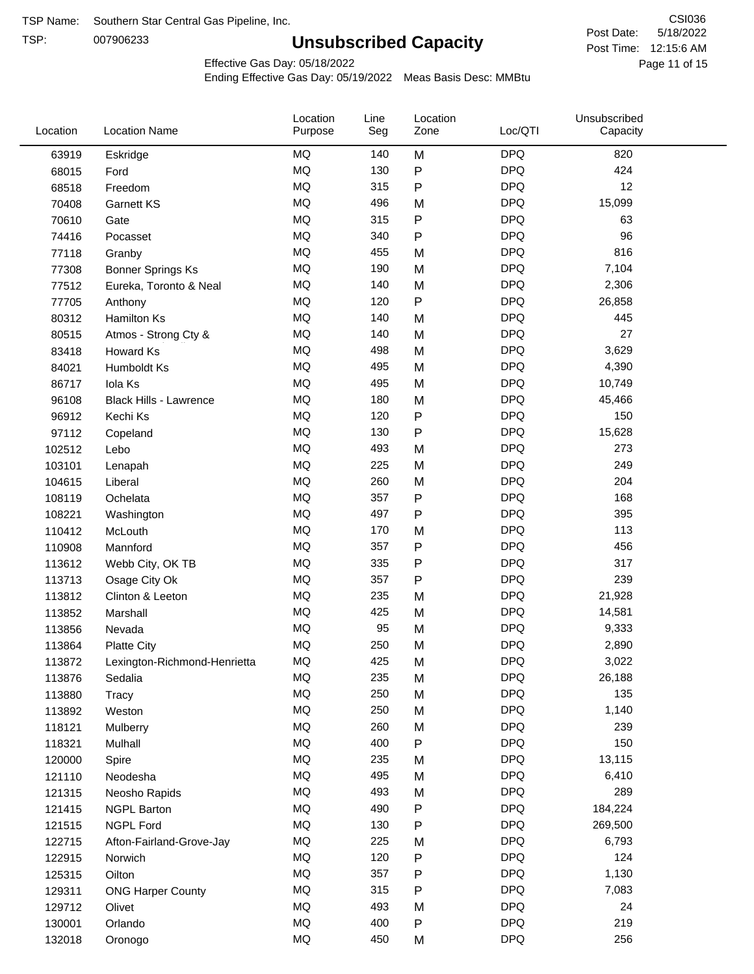TSP:

# **Unsubscribed Capacity**

5/18/2022 Page 11 of 15 Post Time: 12:15:6 AM CSI036 Post Date:

Effective Gas Day: 05/18/2022

| Location | <b>Location Name</b>          | Location<br>Purpose | Line<br>Seg | Location<br>Zone | Loc/QTI    | Unsubscribed<br>Capacity |  |
|----------|-------------------------------|---------------------|-------------|------------------|------------|--------------------------|--|
| 63919    | Eskridge                      | <b>MQ</b>           | 140         | M                | <b>DPQ</b> | 820                      |  |
| 68015    | Ford                          | <b>MQ</b>           | 130         | P                | <b>DPQ</b> | 424                      |  |
| 68518    | Freedom                       | <b>MQ</b>           | 315         | P                | <b>DPQ</b> | 12                       |  |
| 70408    | <b>Garnett KS</b>             | <b>MQ</b>           | 496         | M                | <b>DPQ</b> | 15,099                   |  |
| 70610    | Gate                          | <b>MQ</b>           | 315         | ${\sf P}$        | <b>DPQ</b> | 63                       |  |
| 74416    | Pocasset                      | <b>MQ</b>           | 340         | P                | <b>DPQ</b> | 96                       |  |
| 77118    | Granby                        | MQ                  | 455         | M                | <b>DPQ</b> | 816                      |  |
| 77308    | <b>Bonner Springs Ks</b>      | MQ                  | 190         | M                | <b>DPQ</b> | 7,104                    |  |
| 77512    | Eureka, Toronto & Neal        | <b>MQ</b>           | 140         | M                | <b>DPQ</b> | 2,306                    |  |
| 77705    | Anthony                       | <b>MQ</b>           | 120         | $\sf P$          | <b>DPQ</b> | 26,858                   |  |
| 80312    | Hamilton Ks                   | <b>MQ</b>           | 140         | M                | <b>DPQ</b> | 445                      |  |
| 80515    | Atmos - Strong Cty &          | MQ                  | 140         | M                | <b>DPQ</b> | 27                       |  |
| 83418    | Howard Ks                     | MQ                  | 498         | M                | <b>DPQ</b> | 3,629                    |  |
| 84021    | Humboldt Ks                   | <b>MQ</b>           | 495         | M                | <b>DPQ</b> | 4,390                    |  |
| 86717    | Iola Ks                       | <b>MQ</b>           | 495         | M                | <b>DPQ</b> | 10,749                   |  |
| 96108    | <b>Black Hills - Lawrence</b> | MQ                  | 180         | M                | <b>DPQ</b> | 45,466                   |  |
| 96912    | Kechi Ks                      | <b>MQ</b>           | 120         | P                | <b>DPQ</b> | 150                      |  |
| 97112    | Copeland                      | <b>MQ</b>           | 130         | P                | <b>DPQ</b> | 15,628                   |  |
| 102512   | Lebo                          | <b>MQ</b>           | 493         | M                | <b>DPQ</b> | 273                      |  |
| 103101   | Lenapah                       | <b>MQ</b>           | 225         | M                | <b>DPQ</b> | 249                      |  |
| 104615   | Liberal                       | MQ                  | 260         | M                | <b>DPQ</b> | 204                      |  |
| 108119   | Ochelata                      | <b>MQ</b>           | 357         | P                | <b>DPQ</b> | 168                      |  |
| 108221   | Washington                    | <b>MQ</b>           | 497         | $\mathsf{P}$     | <b>DPQ</b> | 395                      |  |
| 110412   | McLouth                       | <b>MQ</b>           | 170         | M                | <b>DPQ</b> | 113                      |  |
| 110908   | Mannford                      | MQ                  | 357         | P                | <b>DPQ</b> | 456                      |  |
| 113612   | Webb City, OK TB              | MQ                  | 335         | ${\sf P}$        | <b>DPQ</b> | 317                      |  |
| 113713   | Osage City Ok                 | MQ                  | 357         | P                | <b>DPQ</b> | 239                      |  |
| 113812   | Clinton & Leeton              | MQ                  | 235         | M                | <b>DPQ</b> | 21,928                   |  |
| 113852   | Marshall                      | MQ                  | 425         | M                | <b>DPQ</b> | 14,581                   |  |
| 113856   | Nevada                        | MQ                  | 95          | M                | <b>DPQ</b> | 9,333                    |  |
| 113864   | <b>Platte City</b>            | MQ                  | 250         | M                | <b>DPQ</b> | 2,890                    |  |
| 113872   | Lexington-Richmond-Henrietta  | MQ                  | 425         | M                | <b>DPQ</b> | 3,022                    |  |
| 113876   | Sedalia                       | MQ                  | 235         | M                | <b>DPQ</b> | 26,188                   |  |
| 113880   | Tracy                         | MQ                  | 250         | M                | <b>DPQ</b> | 135                      |  |
| 113892   | Weston                        | MQ                  | 250         | M                | <b>DPQ</b> | 1,140                    |  |
| 118121   | Mulberry                      | MQ                  | 260         | M                | <b>DPQ</b> | 239                      |  |
| 118321   | Mulhall                       | MQ                  | 400         | P                | <b>DPQ</b> | 150                      |  |
| 120000   | Spire                         | MQ                  | 235         | M                | <b>DPQ</b> | 13,115                   |  |
| 121110   | Neodesha                      | MQ                  | 495         | M                | <b>DPQ</b> | 6,410                    |  |
| 121315   | Neosho Rapids                 | MQ                  | 493         | M                | <b>DPQ</b> | 289                      |  |
| 121415   | <b>NGPL Barton</b>            | MQ                  | 490         | P                | <b>DPQ</b> | 184,224                  |  |
| 121515   | <b>NGPL Ford</b>              | MQ                  | 130         | P                | <b>DPQ</b> | 269,500                  |  |
| 122715   | Afton-Fairland-Grove-Jay      | MQ                  | 225         | M                | <b>DPQ</b> | 6,793                    |  |
| 122915   | Norwich                       | MQ                  | 120         | P                | <b>DPQ</b> | 124                      |  |
| 125315   | Oilton                        | MQ                  | 357         | P                | <b>DPQ</b> | 1,130                    |  |
| 129311   | <b>ONG Harper County</b>      | MQ                  | 315         | P                | <b>DPQ</b> | 7,083                    |  |
| 129712   | Olivet                        | MQ                  | 493         | M                | <b>DPQ</b> | 24                       |  |
| 130001   | Orlando                       | MQ                  | 400         | P                | <b>DPQ</b> | 219                      |  |
| 132018   | Oronogo                       | $\sf{MQ}$           | 450         | M                | <b>DPQ</b> | 256                      |  |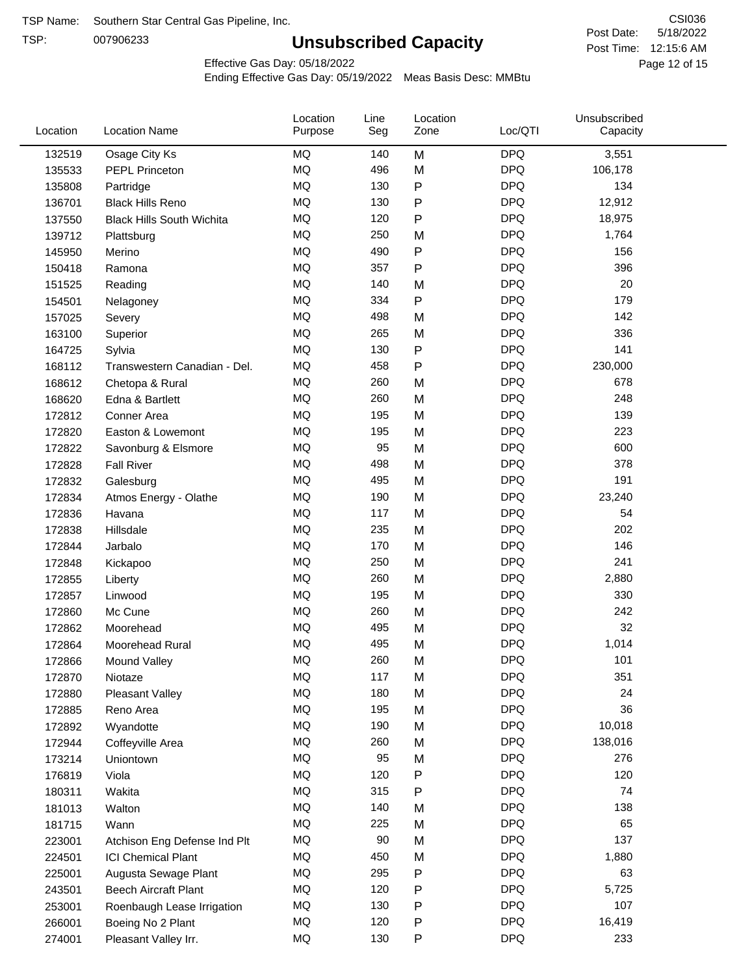TSP:

# **Unsubscribed Capacity**

5/18/2022 Page 12 of 15 Post Time: 12:15:6 AM CSI036 Post Date:

Effective Gas Day: 05/18/2022

| Location | <b>Location Name</b>             | Location<br>Purpose | Line<br>Seg | Location<br>Zone | Loc/QTI    | Unsubscribed<br>Capacity |  |
|----------|----------------------------------|---------------------|-------------|------------------|------------|--------------------------|--|
| 132519   | Osage City Ks                    | MQ                  | 140         | M                | <b>DPQ</b> | 3,551                    |  |
| 135533   | <b>PEPL Princeton</b>            | MQ                  | 496         | M                | <b>DPQ</b> | 106,178                  |  |
| 135808   | Partridge                        | MQ                  | 130         | P                | <b>DPQ</b> | 134                      |  |
| 136701   | <b>Black Hills Reno</b>          | MQ                  | 130         | P                | <b>DPQ</b> | 12,912                   |  |
| 137550   | <b>Black Hills South Wichita</b> | <b>MQ</b>           | 120         | P                | <b>DPQ</b> | 18,975                   |  |
| 139712   | Plattsburg                       | MQ                  | 250         | M                | <b>DPQ</b> | 1,764                    |  |
| 145950   | Merino                           | MQ                  | 490         | P                | <b>DPQ</b> | 156                      |  |
| 150418   | Ramona                           | MQ                  | 357         | P                | <b>DPQ</b> | 396                      |  |
| 151525   | Reading                          | MQ                  | 140         | M                | <b>DPQ</b> | 20                       |  |
| 154501   | Nelagoney                        | MQ                  | 334         | P                | <b>DPQ</b> | 179                      |  |
| 157025   | Severy                           | MQ                  | 498         | M                | <b>DPQ</b> | 142                      |  |
| 163100   | Superior                         | MQ                  | 265         | M                | <b>DPQ</b> | 336                      |  |
| 164725   | Sylvia                           | MQ                  | 130         | P                | <b>DPQ</b> | 141                      |  |
| 168112   | Transwestern Canadian - Del.     | MQ                  | 458         | P                | <b>DPQ</b> | 230,000                  |  |
| 168612   | Chetopa & Rural                  | <b>MQ</b>           | 260         | M                | <b>DPQ</b> | 678                      |  |
| 168620   | Edna & Bartlett                  | <b>MQ</b>           | 260         | M                | <b>DPQ</b> | 248                      |  |
| 172812   | Conner Area                      | MQ                  | 195         | M                | <b>DPQ</b> | 139                      |  |
| 172820   | Easton & Lowemont                | MQ                  | 195         | M                | <b>DPQ</b> | 223                      |  |
| 172822   | Savonburg & Elsmore              | MQ                  | 95          | M                | <b>DPQ</b> | 600                      |  |
| 172828   | <b>Fall River</b>                | <b>MQ</b>           | 498         | M                | <b>DPQ</b> | 378                      |  |
| 172832   | Galesburg                        | MQ                  | 495         | M                | <b>DPQ</b> | 191                      |  |
| 172834   | Atmos Energy - Olathe            | MQ                  | 190         | M                | <b>DPQ</b> | 23,240                   |  |
| 172836   | Havana                           | <b>MQ</b>           | 117         | M                | <b>DPQ</b> | 54                       |  |
| 172838   | Hillsdale                        | <b>MQ</b>           | 235         | M                | <b>DPQ</b> | 202                      |  |
| 172844   | Jarbalo                          | <b>MQ</b>           | 170         | M                | <b>DPQ</b> | 146                      |  |
| 172848   | Kickapoo                         | MQ                  | 250         | M                | <b>DPQ</b> | 241                      |  |
| 172855   | Liberty                          | <b>MQ</b>           | 260         | M                | <b>DPQ</b> | 2,880                    |  |
| 172857   | Linwood                          | MQ                  | 195         | M                | <b>DPQ</b> | 330                      |  |
| 172860   | Mc Cune                          | MQ                  | 260         | M                | <b>DPQ</b> | 242                      |  |
| 172862   | Moorehead                        | MQ                  | 495         | M                | <b>DPQ</b> | 32                       |  |
| 172864   | Moorehead Rural                  | MQ                  | 495         | M                | <b>DPQ</b> | 1,014                    |  |
| 172866   | Mound Valley                     | MQ                  | 260         | M                | <b>DPQ</b> | 101                      |  |
| 172870   | Niotaze                          | MQ                  | 117         | M                | <b>DPQ</b> | 351                      |  |
| 172880   | Pleasant Valley                  | MQ                  | 180         | M                | <b>DPQ</b> | 24                       |  |
| 172885   | Reno Area                        | MQ                  | 195         | M                | <b>DPQ</b> | 36                       |  |
| 172892   | Wyandotte                        | $\sf{MQ}$           | 190         | M                | <b>DPQ</b> | 10,018                   |  |
| 172944   | Coffeyville Area                 | MQ                  | 260         | M                | <b>DPQ</b> | 138,016                  |  |
| 173214   | Uniontown                        | MQ                  | 95          | M                | <b>DPQ</b> | 276                      |  |
| 176819   | Viola                            | MQ                  | 120         | Ρ                | <b>DPQ</b> | 120                      |  |
| 180311   | Wakita                           | MQ                  | 315         | Ρ                | <b>DPQ</b> | 74                       |  |
| 181013   | Walton                           | MQ                  | 140         | M                | <b>DPQ</b> | 138                      |  |
| 181715   | Wann                             | MQ                  | 225         | M                | <b>DPQ</b> | 65                       |  |
| 223001   | Atchison Eng Defense Ind Plt     | $\sf{MQ}$           | 90          | M                | <b>DPQ</b> | 137                      |  |
| 224501   | <b>ICI Chemical Plant</b>        | MQ                  | 450         | M                | <b>DPQ</b> | 1,880                    |  |
| 225001   | Augusta Sewage Plant             | MQ                  | 295         | Ρ                | <b>DPQ</b> | 63                       |  |
| 243501   | <b>Beech Aircraft Plant</b>      | MQ                  | 120         | P                | <b>DPQ</b> | 5,725                    |  |
| 253001   | Roenbaugh Lease Irrigation       | MQ                  | 130         | P                | <b>DPQ</b> | 107                      |  |
| 266001   | Boeing No 2 Plant                | MQ                  | 120         | P                | <b>DPQ</b> | 16,419                   |  |
| 274001   | Pleasant Valley Irr.             | MQ                  | 130         | P                | <b>DPQ</b> | 233                      |  |
|          |                                  |                     |             |                  |            |                          |  |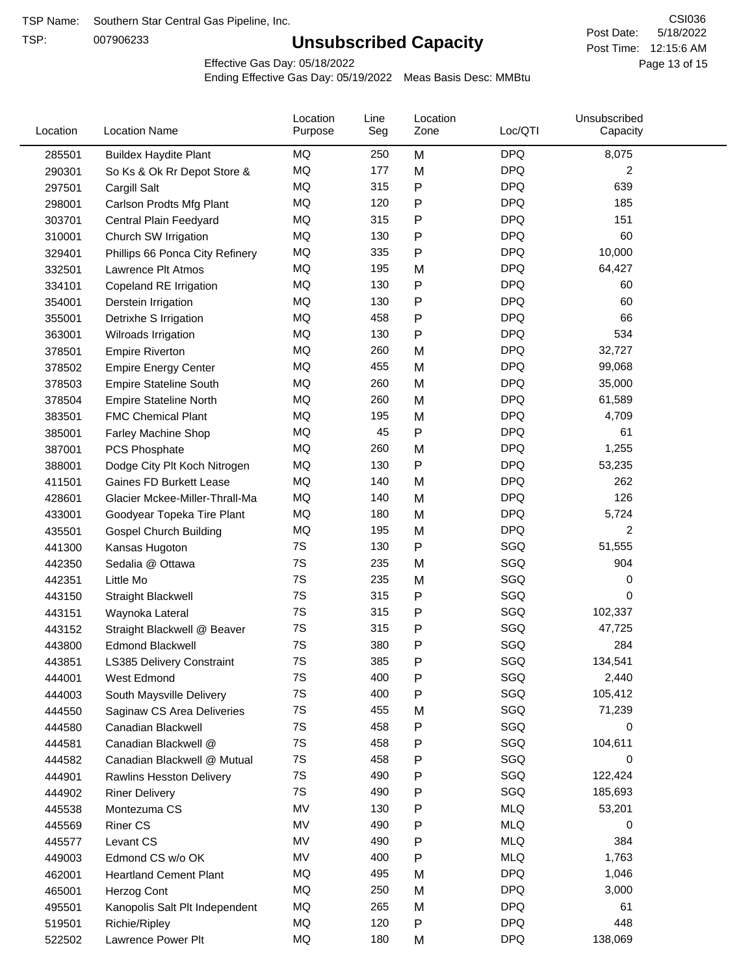TSP:

# **Unsubscribed Capacity**

5/18/2022 Page 13 of 15 Post Time: 12:15:6 AM CSI036 Post Date:

Effective Gas Day: 05/18/2022

| Location | <b>Location Name</b>            | Location<br>Purpose | Line<br>Seg | Location<br>Zone | Loc/QTI    | Unsubscribed<br>Capacity |  |
|----------|---------------------------------|---------------------|-------------|------------------|------------|--------------------------|--|
| 285501   | <b>Buildex Haydite Plant</b>    | MQ                  | 250         | M                | <b>DPQ</b> | 8,075                    |  |
| 290301   | So Ks & Ok Rr Depot Store &     | MQ                  | 177         | M                | <b>DPQ</b> | 2                        |  |
| 297501   | Cargill Salt                    | MQ                  | 315         | P                | <b>DPQ</b> | 639                      |  |
| 298001   | Carlson Prodts Mfg Plant        | MQ                  | 120         | P                | <b>DPQ</b> | 185                      |  |
| 303701   | Central Plain Feedyard          | MQ                  | 315         | P                | <b>DPQ</b> | 151                      |  |
| 310001   | Church SW Irrigation            | MQ                  | 130         | P                | <b>DPQ</b> | 60                       |  |
| 329401   | Phillips 66 Ponca City Refinery | MQ                  | 335         | $\mathsf{P}$     | <b>DPQ</b> | 10,000                   |  |
| 332501   | Lawrence Plt Atmos              | MQ                  | 195         | M                | <b>DPQ</b> | 64,427                   |  |
| 334101   | Copeland RE Irrigation          | <b>MQ</b>           | 130         | P                | <b>DPQ</b> | 60                       |  |
| 354001   | Derstein Irrigation             | MQ                  | 130         | P                | <b>DPQ</b> | 60                       |  |
| 355001   | Detrixhe S Irrigation           | MQ                  | 458         | P                | <b>DPQ</b> | 66                       |  |
| 363001   | Wilroads Irrigation             | MQ                  | 130         | P                | <b>DPQ</b> | 534                      |  |
| 378501   | <b>Empire Riverton</b>          | <b>MQ</b>           | 260         | M                | <b>DPQ</b> | 32,727                   |  |
| 378502   | <b>Empire Energy Center</b>     | <b>MQ</b>           | 455         | M                | <b>DPQ</b> | 99,068                   |  |
| 378503   | <b>Empire Stateline South</b>   | MQ                  | 260         | M                | <b>DPQ</b> | 35,000                   |  |
| 378504   | <b>Empire Stateline North</b>   | MQ                  | 260         | M                | <b>DPQ</b> | 61,589                   |  |
| 383501   | <b>FMC Chemical Plant</b>       | MQ                  | 195         | M                | <b>DPQ</b> | 4,709                    |  |
| 385001   | Farley Machine Shop             | MQ                  | 45          | P                | <b>DPQ</b> | 61                       |  |
| 387001   | PCS Phosphate                   | MQ                  | 260         | M                | <b>DPQ</b> | 1,255                    |  |
| 388001   | Dodge City Plt Koch Nitrogen    | MQ                  | 130         | P                | <b>DPQ</b> | 53,235                   |  |
| 411501   | Gaines FD Burkett Lease         | MQ                  | 140         | M                | <b>DPQ</b> | 262                      |  |
| 428601   | Glacier Mckee-Miller-Thrall-Ma  | <b>MQ</b>           | 140         | M                | <b>DPQ</b> | 126                      |  |
| 433001   | Goodyear Topeka Tire Plant      | <b>MQ</b>           | 180         | M                | <b>DPQ</b> | 5,724                    |  |
| 435501   | <b>Gospel Church Building</b>   | <b>MQ</b>           | 195         | M                | <b>DPQ</b> | $\overline{2}$           |  |
| 441300   | Kansas Hugoton                  | 7S                  | 130         | $\mathsf{P}$     | SGQ        | 51,555                   |  |
| 442350   | Sedalia @ Ottawa                | 7S                  | 235         | M                | SGQ        | 904                      |  |
| 442351   | Little Mo                       | 7S                  | 235         | M                | SGQ        | 0                        |  |
| 443150   | <b>Straight Blackwell</b>       | 7S                  | 315         | P                | SGQ        | 0                        |  |
| 443151   | Waynoka Lateral                 | 7S                  | 315         | P                | SGQ        | 102,337                  |  |
| 443152   | Straight Blackwell @ Beaver     | 7S                  | 315         | P                | SGQ        | 47,725                   |  |
| 443800   | <b>Edmond Blackwell</b>         | 7S                  | 380         | P                | SGQ        | 284                      |  |
| 443851   | LS385 Delivery Constraint       | 7S                  | 385         | P                | SGQ        | 134,541                  |  |
| 444001   | West Edmond                     | 7S                  | 400         | P                | SGQ        | 2,440                    |  |
| 444003   | South Maysville Delivery        | 7S                  | 400         | P                | SGQ        | 105,412                  |  |
| 444550   | Saginaw CS Area Deliveries      | 7S                  | 455         | M                | SGQ        | 71,239                   |  |
| 444580   | Canadian Blackwell              | 7S                  | 458         | P                | SGQ        | 0                        |  |
| 444581   | Canadian Blackwell @            | 7S                  | 458         | P                | SGQ        | 104,611                  |  |
| 444582   | Canadian Blackwell @ Mutual     | 7S                  | 458         | P                | SGQ        | 0                        |  |
| 444901   | <b>Rawlins Hesston Delivery</b> | 7S                  | 490         | P                | SGQ        | 122,424                  |  |
| 444902   | <b>Riner Delivery</b>           | 7S                  | 490         | P                | SGQ        | 185,693                  |  |
| 445538   | Montezuma CS                    | MV                  | 130         | P                | <b>MLQ</b> | 53,201                   |  |
| 445569   | <b>Riner CS</b>                 | MV                  | 490         | P                | <b>MLQ</b> | 0                        |  |
| 445577   | Levant CS                       | MV                  | 490         | P                | <b>MLQ</b> | 384                      |  |
| 449003   | Edmond CS w/o OK                | MV                  | 400         | P                | <b>MLQ</b> | 1,763                    |  |
| 462001   | <b>Heartland Cement Plant</b>   | MQ                  | 495         | M                | <b>DPQ</b> | 1,046                    |  |
| 465001   | Herzog Cont                     | MQ                  | 250         | M                | <b>DPQ</b> | 3,000                    |  |
| 495501   | Kanopolis Salt Plt Independent  | MQ                  | 265         | M                | <b>DPQ</b> | 61                       |  |
| 519501   | Richie/Ripley                   | MQ                  | 120         | P                | <b>DPQ</b> | 448                      |  |
| 522502   | Lawrence Power Plt              | MQ                  | 180         | M                | <b>DPQ</b> | 138,069                  |  |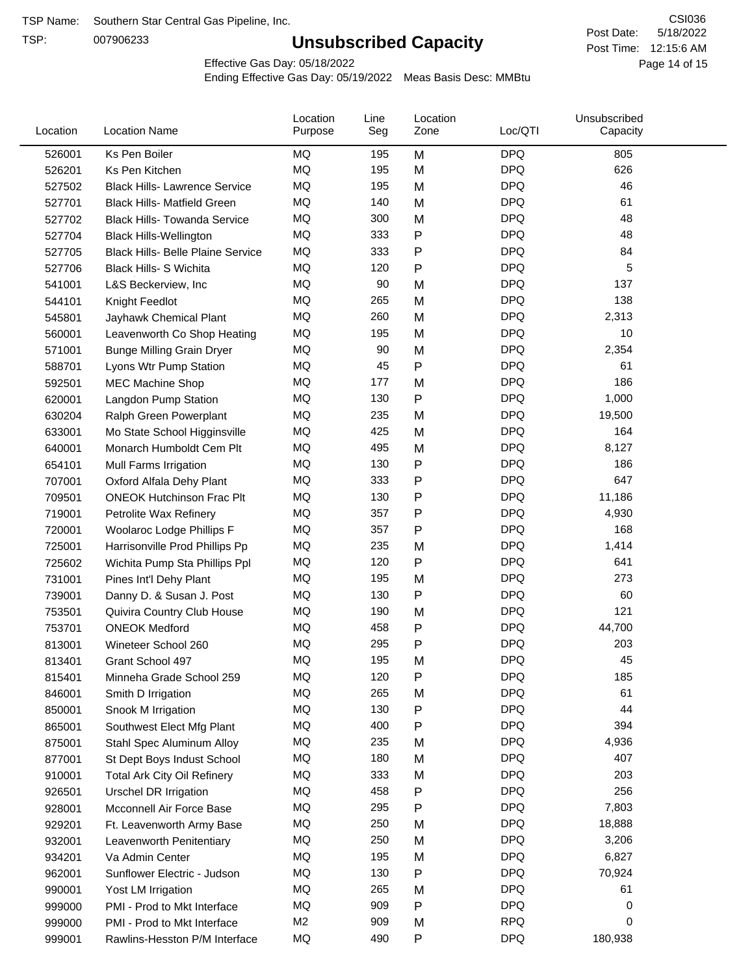TSP:

# **Unsubscribed Capacity**

5/18/2022 Page 14 of 15 Post Time: 12:15:6 AM CSI036 Post Date:

Effective Gas Day: 05/18/2022

| Location | <b>Location Name</b>                     | Location<br>Purpose | Line<br>Seg | Location<br>Zone | Loc/QTI    | Unsubscribed<br>Capacity |  |
|----------|------------------------------------------|---------------------|-------------|------------------|------------|--------------------------|--|
| 526001   | Ks Pen Boiler                            | <b>MQ</b>           | 195         | M                | <b>DPQ</b> | 805                      |  |
| 526201   | Ks Pen Kitchen                           | MQ                  | 195         | M                | <b>DPQ</b> | 626                      |  |
| 527502   | <b>Black Hills- Lawrence Service</b>     | MQ                  | 195         | M                | <b>DPQ</b> | 46                       |  |
| 527701   | <b>Black Hills- Matfield Green</b>       | <b>MQ</b>           | 140         | M                | <b>DPQ</b> | 61                       |  |
| 527702   | <b>Black Hills- Towanda Service</b>      | <b>MQ</b>           | 300         | M                | <b>DPQ</b> | 48                       |  |
| 527704   | <b>Black Hills-Wellington</b>            | MQ                  | 333         | P                | <b>DPQ</b> | 48                       |  |
| 527705   | <b>Black Hills- Belle Plaine Service</b> | MQ                  | 333         | P                | <b>DPQ</b> | 84                       |  |
| 527706   | <b>Black Hills- S Wichita</b>            | MQ                  | 120         | P                | <b>DPQ</b> | 5                        |  |
| 541001   | L&S Beckerview, Inc                      | MQ                  | 90          | M                | <b>DPQ</b> | 137                      |  |
| 544101   | Knight Feedlot                           | MQ                  | 265         | M                | <b>DPQ</b> | 138                      |  |
| 545801   | Jayhawk Chemical Plant                   | MQ                  | 260         | M                | <b>DPQ</b> | 2,313                    |  |
| 560001   | Leavenworth Co Shop Heating              | MQ                  | 195         | M                | <b>DPQ</b> | 10                       |  |
| 571001   | <b>Bunge Milling Grain Dryer</b>         | MQ                  | 90          | M                | <b>DPQ</b> | 2,354                    |  |
| 588701   | Lyons Wtr Pump Station                   | <b>MQ</b>           | 45          | P                | <b>DPQ</b> | 61                       |  |
| 592501   | <b>MEC Machine Shop</b>                  | MQ                  | 177         | M                | <b>DPQ</b> | 186                      |  |
| 620001   | Langdon Pump Station                     | MQ                  | 130         | $\mathsf{P}$     | <b>DPQ</b> | 1,000                    |  |
| 630204   | Ralph Green Powerplant                   | MQ                  | 235         | M                | <b>DPQ</b> | 19,500                   |  |
| 633001   | Mo State School Higginsville             | MQ                  | 425         | M                | <b>DPQ</b> | 164                      |  |
| 640001   | Monarch Humboldt Cem Plt                 | MQ                  | 495         | M                | <b>DPQ</b> | 8,127                    |  |
| 654101   | Mull Farms Irrigation                    | MQ                  | 130         | P                | <b>DPQ</b> | 186                      |  |
| 707001   | Oxford Alfala Dehy Plant                 | MQ                  | 333         | P                | <b>DPQ</b> | 647                      |  |
| 709501   | <b>ONEOK Hutchinson Frac Plt</b>         | MQ                  | 130         | P                | <b>DPQ</b> | 11,186                   |  |
| 719001   | Petrolite Wax Refinery                   | MQ                  | 357         | P                | <b>DPQ</b> | 4,930                    |  |
| 720001   | Woolaroc Lodge Phillips F                | MQ                  | 357         | P                | <b>DPQ</b> | 168                      |  |
| 725001   | Harrisonville Prod Phillips Pp           | MQ                  | 235         | M                | <b>DPQ</b> | 1,414                    |  |
| 725602   | Wichita Pump Sta Phillips Ppl            | MQ                  | 120         | $\mathsf{P}$     | <b>DPQ</b> | 641                      |  |
| 731001   | Pines Int'l Dehy Plant                   | MQ                  | 195         | M                | <b>DPQ</b> | 273                      |  |
| 739001   | Danny D. & Susan J. Post                 | MQ                  | 130         | P                | <b>DPQ</b> | 60                       |  |
| 753501   | Quivira Country Club House               | MQ                  | 190         | M                | <b>DPQ</b> | 121                      |  |
| 753701   | <b>ONEOK Medford</b>                     | MQ                  | 458         | P                | <b>DPQ</b> | 44,700                   |  |
| 813001   | Wineteer School 260                      | MQ                  | 295         | P                | <b>DPQ</b> | 203                      |  |
| 813401   | Grant School 497                         | MQ                  | 195         | M                | <b>DPQ</b> | 45                       |  |
| 815401   | Minneha Grade School 259                 | ΜQ                  | 120         | Ρ                | <b>DPQ</b> | 185                      |  |
| 846001   | Smith D Irrigation                       | MQ                  | 265         | M                | <b>DPQ</b> | 61                       |  |
| 850001   | Snook M Irrigation                       | MQ                  | 130         | Ρ                | <b>DPQ</b> | 44                       |  |
| 865001   | Southwest Elect Mfg Plant                | MQ                  | 400         | Ρ                | <b>DPQ</b> | 394                      |  |
| 875001   | Stahl Spec Aluminum Alloy                | MQ                  | 235         | M                | <b>DPQ</b> | 4,936                    |  |
| 877001   | St Dept Boys Indust School               | MQ                  | 180         | M                | <b>DPQ</b> | 407                      |  |
| 910001   | <b>Total Ark City Oil Refinery</b>       | ΜQ                  | 333         | M                | <b>DPQ</b> | 203                      |  |
| 926501   | <b>Urschel DR Irrigation</b>             | MQ                  | 458         | Ρ                | <b>DPQ</b> | 256                      |  |
| 928001   | Mcconnell Air Force Base                 | MQ                  | 295         | P                | <b>DPQ</b> | 7,803                    |  |
| 929201   | Ft. Leavenworth Army Base                | MQ                  | 250         | M                | <b>DPQ</b> | 18,888                   |  |
| 932001   | Leavenworth Penitentiary                 | MQ                  | 250         | M                | <b>DPQ</b> | 3,206                    |  |
| 934201   | Va Admin Center                          | MQ                  | 195         | M                | <b>DPQ</b> | 6,827                    |  |
| 962001   | Sunflower Electric - Judson              | MQ                  | 130         | P                | <b>DPQ</b> | 70,924                   |  |
| 990001   | Yost LM Irrigation                       | MQ                  | 265         | M                | <b>DPQ</b> | 61                       |  |
| 999000   | PMI - Prod to Mkt Interface              | MQ                  | 909         | P                | <b>DPQ</b> | 0                        |  |
| 999000   | PMI - Prod to Mkt Interface              | M <sub>2</sub>      | 909         | M                | <b>RPQ</b> | 0                        |  |
| 999001   | Rawlins-Hesston P/M Interface            | MQ                  | 490         | P                | <b>DPQ</b> | 180,938                  |  |